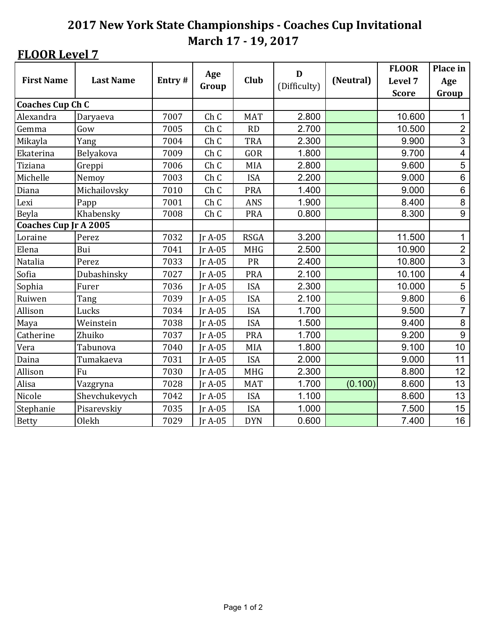## **FLOOR Level 7**

|                              |                  |        | Age             |             | D            |           | <b>FLOOR</b> | Place in                |
|------------------------------|------------------|--------|-----------------|-------------|--------------|-----------|--------------|-------------------------|
| <b>First Name</b>            | <b>Last Name</b> | Entry# | Group           | <b>Club</b> | (Difficulty) | (Neutral) | Level 7      | Age                     |
|                              |                  |        |                 |             |              |           | <b>Score</b> | Group                   |
| <b>Coaches Cup Ch C</b>      |                  |        |                 |             |              |           |              |                         |
| Alexandra                    | Daryaeva         | 7007   | Ch <sub>C</sub> | <b>MAT</b>  | 2.800        |           | 10.600       | 1                       |
| Gemma                        | Gow              | 7005   | Ch <sub>C</sub> | RD          | 2.700        |           | 10.500       | $\overline{2}$          |
| Mikayla                      | Yang             | 7004   | Ch <sub>C</sub> | <b>TRA</b>  | 2.300        |           | 9.900        | 3                       |
| Ekaterina                    | Belyakova        | 7009   | Ch <sub>C</sub> | GOR         | 1.800        |           | 9.700        | $\overline{\mathbf{4}}$ |
| Tiziana                      | Greppi           | 7006   | Ch <sub>C</sub> | <b>MIA</b>  | 2.800        |           | 9.600        | 5                       |
| Michelle                     | Nemoy            | 7003   | Ch <sub>C</sub> | <b>ISA</b>  | 2.200        |           | 9.000        | $\,6$                   |
| Diana                        | Michailovsky     | 7010   | Ch <sub>C</sub> | <b>PRA</b>  | 1.400        |           | 9.000        | $\,6$                   |
| Lexi                         | Papp             | 7001   | Ch <sub>C</sub> | ANS         | 1.900        |           | 8.400        | $\bf 8$                 |
| Beyla                        | Khabensky        | 7008   | Ch <sub>C</sub> | <b>PRA</b>  | 0.800        |           | 8.300        | $\overline{9}$          |
| <b>Coaches Cup Jr A 2005</b> |                  |        |                 |             |              |           |              |                         |
| Loraine                      | Perez            | 7032   | $IrA-05$        | <b>RSGA</b> | 3.200        |           | 11.500       | $\mathbf 1$             |
| Elena                        | Bui              | 7041   | $IrA-05$        | <b>MHG</b>  | 2.500        |           | 10.900       | $\overline{c}$          |
| Natalia                      | Perez            | 7033   | $IrA-05$        | PR          | 2.400        |           | 10.800       | 3                       |
| Sofia                        | Dubashinsky      | 7027   | Ir A-05         | <b>PRA</b>  | 2.100        |           | 10.100       | 4                       |
| Sophia                       | Furer            | 7036   | Jr A-05         | <b>ISA</b>  | 2.300        |           | 10.000       | $\overline{5}$          |
| Ruiwen                       | Tang             | 7039   | $IrA-05$        | <b>ISA</b>  | 2.100        |           | 9.800        | $\,6$                   |
| Allison                      | Lucks            | 7034   | Jr A-05         | <b>ISA</b>  | 1.700        |           | 9.500        | $\overline{7}$          |
| Maya                         | Weinstein        | 7038   | $IrA-05$        | <b>ISA</b>  | 1.500        |           | 9.400        | $\bf 8$                 |
| Catherine                    | Zhuiko           | 7037   | $IrA-05$        | <b>PRA</b>  | 1.700        |           | 9.200        | $\boldsymbol{9}$        |
| Vera                         | Tabunova         | 7040   | $IrA-05$        | MIA         | 1.800        |           | 9.100        | 10                      |
| Daina                        | Tumakaeva        | 7031   | Ir A-05         | <b>ISA</b>  | 2.000        |           | 9.000        | 11                      |
| Allison                      | Fu               | 7030   | $IrA-05$        | <b>MHG</b>  | 2.300        |           | 8.800        | 12                      |
| Alisa                        | Vazgryna         | 7028   | $IrA-05$        | <b>MAT</b>  | 1.700        | (0.100)   | 8.600        | 13                      |
| Nicole                       | Shevchukevych    | 7042   | $IrA-05$        | <b>ISA</b>  | 1.100        |           | 8.600        | 13                      |
| Stephanie                    | Pisarevskiy      | 7035   | Jr A-05         | <b>ISA</b>  | 1.000        |           | 7.500        | 15                      |
| <b>Betty</b>                 | Olekh            | 7029   | $IrA-05$        | <b>DYN</b>  | 0.600        |           | 7.400        | 16                      |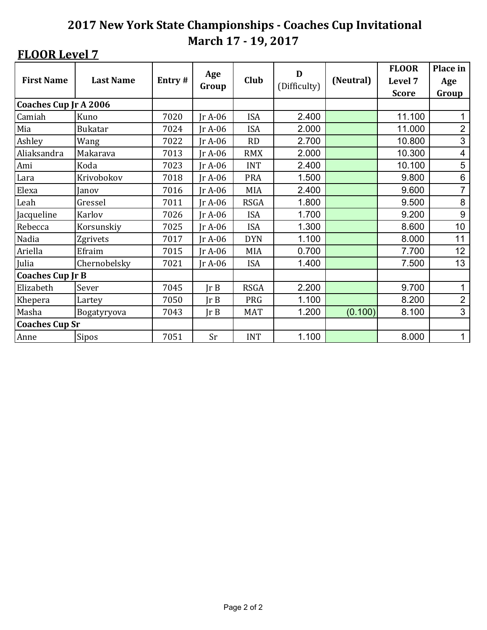## **FLOOR Level 7**

| <b>First Name</b>            | <b>Last Name</b> | Entry# | Age      | Club        | D            | (Neutral) | <b>FLOOR</b><br>Level 7 | Place in<br>Age |
|------------------------------|------------------|--------|----------|-------------|--------------|-----------|-------------------------|-----------------|
|                              |                  |        | Group    |             | (Difficulty) |           | <b>Score</b>            | Group           |
| <b>Coaches Cup Jr A 2006</b> |                  |        |          |             |              |           |                         |                 |
| Camiah                       | Kuno             | 7020   | $IrA-06$ | <b>ISA</b>  | 2.400        |           | 11.100                  |                 |
| Mia                          | <b>Bukatar</b>   | 7024   | $IrA-06$ | <b>ISA</b>  | 2.000        |           | 11.000                  | $\mathbf{2}$    |
| Ashley                       | Wang             | 7022   | $IrA-06$ | RD          | 2.700        |           | 10.800                  | 3               |
| Aliaksandra                  | Makarava         | 7013   | $IrA-06$ | <b>RMX</b>  | 2.000        |           | 10.300                  | $\overline{4}$  |
| Ami                          | Koda             | 7023   | $IrA-06$ | <b>INT</b>  | 2.400        |           | 10.100                  | 5               |
| Lara                         | Krivobokov       | 7018   | $IrA-06$ | <b>PRA</b>  | 1.500        |           | 9.800                   | $\,6$           |
| Elexa                        | Janov            | 7016   | $IrA-06$ | MIA         | 2.400        |           | 9.600                   | $\overline{7}$  |
| Leah                         | Gressel          | 7011   | $IrA-06$ | <b>RSGA</b> | 1.800        |           | 9.500                   | 8               |
| Jacqueline                   | Karlov           | 7026   | $IrA-06$ | <b>ISA</b>  | 1.700        |           | 9.200                   | 9               |
| Rebecca                      | Korsunskiy       | 7025   | $IrA-06$ | <b>ISA</b>  | 1.300        |           | 8.600                   | 10              |
| Nadia                        | Zgrivets         | 7017   | $IrA-06$ | <b>DYN</b>  | 1.100        |           | 8.000                   | 11              |
| Ariella                      | Efraim           | 7015   | $IrA-06$ | <b>MIA</b>  | 0.700        |           | 7.700                   | 12              |
| Julia                        | Chernobelsky     | 7021   | $IrA-06$ | <b>ISA</b>  | 1.400        |           | 7.500                   | 13              |
| <b>Coaches Cup Jr B</b>      |                  |        |          |             |              |           |                         |                 |
| Elizabeth                    | Sever            | 7045   | Ir B     | <b>RSGA</b> | 2.200        |           | 9.700                   | 1               |
| Khepera                      | Lartey           | 7050   | JrB      | <b>PRG</b>  | 1.100        |           | 8.200                   | $\overline{2}$  |
| Masha                        | Bogatyryova      | 7043   | Ir B     | <b>MAT</b>  | 1.200        | (0.100)   | 8.100                   | 3               |
| <b>Coaches Cup Sr</b>        |                  |        |          |             |              |           |                         |                 |
| Anne                         | <b>Sipos</b>     | 7051   | Sr       | <b>INT</b>  | 1.100        |           | 8.000                   | 1               |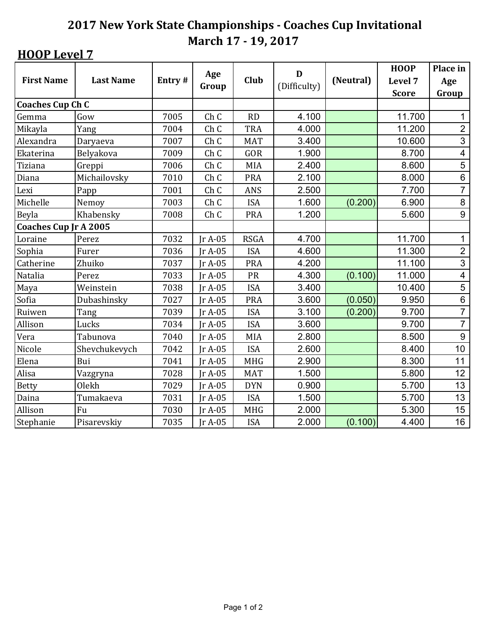|                              |                  |        |                 |             | D            |           | <b>HOOP</b>  | Place in                |
|------------------------------|------------------|--------|-----------------|-------------|--------------|-----------|--------------|-------------------------|
| <b>First Name</b>            | <b>Last Name</b> | Entry# | Age<br>Group    | <b>Club</b> | (Difficulty) | (Neutral) | Level 7      | Age                     |
|                              |                  |        |                 |             |              |           | <b>Score</b> | Group                   |
| <b>Coaches Cup Ch C</b>      |                  |        |                 |             |              |           |              |                         |
| Gemma                        | Gow              | 7005   | Ch C            | <b>RD</b>   | 4.100        |           | 11.700       | 1                       |
| Mikayla                      | Yang             | 7004   | Ch <sub>C</sub> | <b>TRA</b>  | 4.000        |           | 11.200       | $\overline{2}$          |
| Alexandra                    | Daryaeva         | 7007   | Ch <sub>C</sub> | <b>MAT</b>  | 3.400        |           | 10.600       | 3                       |
| Ekaterina                    | Belyakova        | 7009   | Ch <sub>C</sub> | GOR         | 1.900        |           | 8.700        | $\overline{\mathbf{4}}$ |
| Tiziana                      | Greppi           | 7006   | Ch <sub>C</sub> | MIA         | 2.400        |           | 8.600        | 5                       |
| Diana                        | Michailovsky     | 7010   | Ch C            | <b>PRA</b>  | 2.100        |           | 8.000        | $\,6$                   |
| Lexi                         | Papp             | 7001   | Ch <sub>C</sub> | ANS         | 2.500        |           | 7.700        | $\overline{7}$          |
| Michelle                     | Nemoy            | 7003   | Ch C            | <b>ISA</b>  | 1.600        | (0.200)   | 6.900        | $\bf 8$                 |
| Beyla                        | Khabensky        | 7008   | Ch C            | <b>PRA</b>  | 1.200        |           | 5.600        | $\boldsymbol{9}$        |
| <b>Coaches Cup Jr A 2005</b> |                  |        |                 |             |              |           |              |                         |
| Loraine                      | Perez            | 7032   | $IrA-05$        | <b>RSGA</b> | 4.700        |           | 11.700       | $\mathbf 1$             |
| Sophia                       | Furer            | 7036   | $IrA-05$        | <b>ISA</b>  | 4.600        |           | 11.300       | $\overline{c}$          |
| Catherine                    | Zhuiko           | 7037   | $IrA-05$        | <b>PRA</b>  | 4.200        |           | 11.100       | 3                       |
| Natalia                      | Perez            | 7033   | $IrA-05$        | PR          | 4.300        | (0.100)   | 11.000       | $\overline{\mathbf{4}}$ |
| Maya                         | Weinstein        | 7038   | Ir A-05         | <b>ISA</b>  | 3.400        |           | 10.400       | $\overline{5}$          |
| Sofia                        | Dubashinsky      | 7027   | $IrA-05$        | <b>PRA</b>  | 3.600        | (0.050)   | 9.950        | $\,6$                   |
| Ruiwen                       | Tang             | 7039   | $IrA-05$        | <b>ISA</b>  | 3.100        | (0.200)   | 9.700        | $\overline{7}$          |
| Allison                      | Lucks            | 7034   | $IrA-05$        | <b>ISA</b>  | 3.600        |           | 9.700        | $\overline{7}$          |
| Vera                         | Tabunova         | 7040   | $IrA-05$        | MIA         | 2.800        |           | 8.500        | 9                       |
| Nicole                       | Shevchukevych    | 7042   | $IrA-05$        | <b>ISA</b>  | 2.600        |           | 8.400        | 10                      |
| Elena                        | Bui              | 7041   | $IrA-05$        | <b>MHG</b>  | 2.900        |           | 8.300        | 11                      |
| Alisa                        | Vazgryna         | 7028   | $IrA-05$        | <b>MAT</b>  | 1.500        |           | 5.800        | 12                      |
| <b>Betty</b>                 | Olekh            | 7029   | $IrA-05$        | <b>DYN</b>  | 0.900        |           | 5.700        | 13                      |
| Daina                        | Tumakaeva        | 7031   | $IrA-05$        | <b>ISA</b>  | 1.500        |           | 5.700        | 13                      |
| Allison                      | Fu               | 7030   | Jr A-05         | <b>MHG</b>  | 2.000        |           | 5.300        | 15                      |
| Stephanie                    | Pisarevskiy      | 7035   | Ir A-05         | <b>ISA</b>  | 2.000        | (0.100)   | 4.400        | 16                      |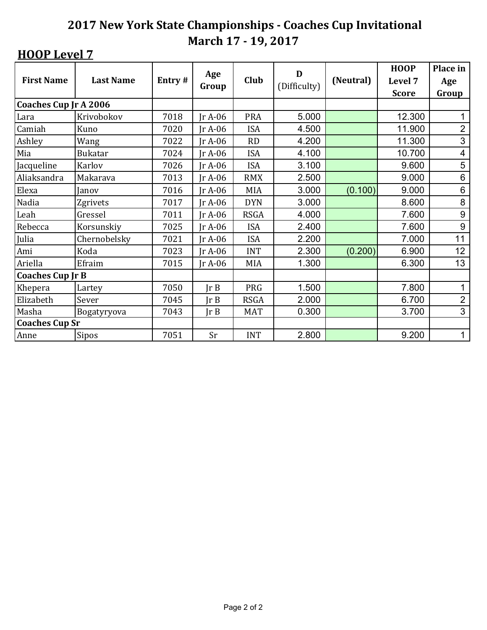| <b>First Name</b>       | <b>Last Name</b> | Entry# | Age<br>Group | Club        | D<br>(Difficulty) | (Neutral) | <b>HOOP</b><br>Level 7 | Place in<br>Age |
|-------------------------|------------------|--------|--------------|-------------|-------------------|-----------|------------------------|-----------------|
|                         |                  |        |              |             |                   |           | <b>Score</b>           | Group           |
| Coaches Cup Jr A 2006   |                  |        |              |             |                   |           |                        |                 |
| Lara                    | Krivobokov       | 7018   | $IrA-06$     | <b>PRA</b>  | 5.000             |           | 12.300                 | 1               |
| Camiah                  | Kuno             | 7020   | $IrA-06$     | <b>ISA</b>  | 4.500             |           | 11.900                 | $\overline{2}$  |
| Ashley                  | Wang             | 7022   | $IrA-06$     | RD          | 4.200             |           | 11.300                 | 3               |
| Mia                     | <b>Bukatar</b>   | 7024   | $IrA-06$     | <b>ISA</b>  | 4.100             |           | 10.700                 | 4               |
| Jacqueline              | Karlov           | 7026   | $IrA-06$     | <b>ISA</b>  | 3.100             |           | 9.600                  | 5               |
| Aliaksandra             | Makarava         | 7013   | $IrA-06$     | <b>RMX</b>  | 2.500             |           | 9.000                  | 6               |
| Elexa                   | Janov            | 7016   | $IrA-06$     | <b>MIA</b>  | 3.000             | (0.100)   | 9.000                  | $\,6$           |
| Nadia                   | Zgrivets         | 7017   | $IrA-06$     | <b>DYN</b>  | 3.000             |           | 8.600                  | 8               |
| Leah                    | Gressel          | 7011   | Jr A-06      | <b>RSGA</b> | 4.000             |           | 7.600                  | $9\,$           |
| Rebecca                 | Korsunskiy       | 7025   | $IrA-06$     | <b>ISA</b>  | 2.400             |           | 7.600                  | 9               |
| Julia                   | Chernobelsky     | 7021   | $IrA-06$     | <b>ISA</b>  | 2.200             |           | 7.000                  | 11              |
| Ami                     | Koda             | 7023   | $IrA-06$     | <b>INT</b>  | 2.300             | (0.200)   | 6.900                  | 12              |
| Ariella                 | Efraim           | 7015   | $IrA-06$     | <b>MIA</b>  | 1.300             |           | 6.300                  | 13              |
| <b>Coaches Cup Jr B</b> |                  |        |              |             |                   |           |                        |                 |
| Khepera                 | Lartey           | 7050   | Ir B         | PRG         | 1.500             |           | 7.800                  | 1               |
| Elizabeth               | Sever            | 7045   | Ir B         | <b>RSGA</b> | 2.000             |           | 6.700                  | $\overline{2}$  |
| Masha                   | Bogatyryova      | 7043   | Ir B         | <b>MAT</b>  | 0.300             |           | 3.700                  | 3               |
| <b>Coaches Cup Sr</b>   |                  |        |              |             |                   |           |                        |                 |
| Anne                    | <b>Sipos</b>     | 7051   | Sr           | <b>INT</b>  | 2.800             |           | 9.200                  | 1               |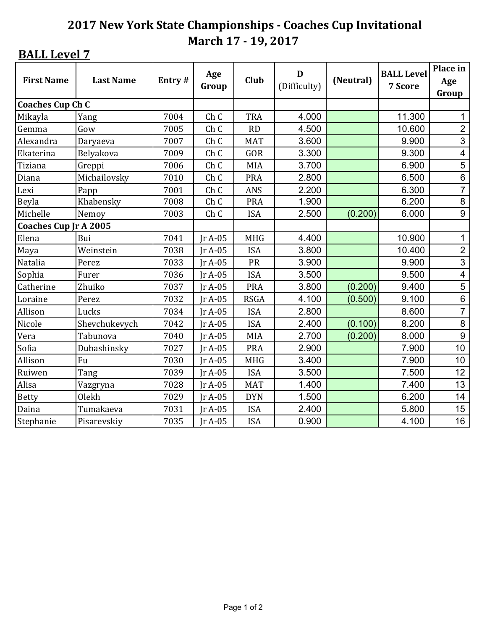| <b>First Name</b>       | <b>Last Name</b> | Entry# | Age<br>Group    | Club        | D<br>(Difficulty) | (Neutral) | <b>BALL Level</b><br>7 Score | Place in<br>Age<br>Group |
|-------------------------|------------------|--------|-----------------|-------------|-------------------|-----------|------------------------------|--------------------------|
| <b>Coaches Cup Ch C</b> |                  |        |                 |             |                   |           |                              |                          |
| Mikayla                 | Yang             | 7004   | Ch <sub>C</sub> | <b>TRA</b>  | 4.000             |           | 11.300                       | $\mathbf{1}$             |
| Gemma                   | Gow              | 7005   | Ch <sub>C</sub> | RD          | 4.500             |           | 10.600                       | $\overline{2}$           |
| Alexandra               | Daryaeva         | 7007   | Ch <sub>C</sub> | <b>MAT</b>  | 3.600             |           | 9.900                        | 3                        |
| Ekaterina               | Belyakova        | 7009   | Ch <sub>C</sub> | GOR         | 3.300             |           | 9.300                        | $\overline{\mathbf{4}}$  |
| Tiziana                 | Greppi           | 7006   | Ch <sub>C</sub> | <b>MIA</b>  | 3.700             |           | 6.900                        | 5                        |
| Diana                   | Michailovsky     | 7010   | Ch C            | <b>PRA</b>  | 2.800             |           | 6.500                        | $\,6$                    |
| Lexi                    | Papp             | 7001   | Ch <sub>C</sub> | <b>ANS</b>  | 2.200             |           | 6.300                        | $\overline{7}$           |
| Beyla                   | Khabensky        | 7008   | Ch <sub>C</sub> | <b>PRA</b>  | 1.900             |           | 6.200                        | 8                        |
| Michelle                | Nemoy            | 7003   | Ch C            | <b>ISA</b>  | 2.500             | (0.200)   | 6.000                        | 9                        |
| Coaches Cup Jr A 2005   |                  |        |                 |             |                   |           |                              |                          |
| Elena                   | Bui              | 7041   | $IrA-05$        | <b>MHG</b>  | 4.400             |           | 10.900                       | $\mathbf{1}$             |
| Maya                    | Weinstein        | 7038   | $IrA-05$        | <b>ISA</b>  | 3.800             |           | 10.400                       | $\overline{2}$           |
| Natalia                 | Perez            | 7033   | $IrA-05$        | PR          | 3.900             |           | 9.900                        | 3                        |
| Sophia                  | Furer            | 7036   | $IrA-05$        | <b>ISA</b>  | 3.500             |           | 9.500                        | 4                        |
| Catherine               | Zhuiko           | 7037   | $IrA-05$        | <b>PRA</b>  | 3.800             | (0.200)   | 9.400                        | 5                        |
| Loraine                 | Perez            | 7032   | $IrA-05$        | <b>RSGA</b> | 4.100             | (0.500)   | 9.100                        | $\,6$                    |
| Allison                 | Lucks            | 7034   | $IrA-05$        | <b>ISA</b>  | 2.800             |           | 8.600                        | $\overline{7}$           |
| Nicole                  | Shevchukevych    | 7042   | $IrA-05$        | <b>ISA</b>  | 2.400             | (0.100)   | 8.200                        | 8                        |
| Vera                    | Tabunova         | 7040   | $IrA-05$        | MIA         | 2.700             | (0.200)   | 8.000                        | 9                        |
| Sofia                   | Dubashinsky      | 7027   | $IrA-05$        | <b>PRA</b>  | 2.900             |           | 7.900                        | 10                       |
| Allison                 | Fu               | 7030   | $IrA-05$        | <b>MHG</b>  | 3.400             |           | 7.900                        | 10                       |
| Ruiwen                  | Tang             | 7039   | $IrA-05$        | <b>ISA</b>  | 3.500             |           | 7.500                        | 12                       |
| Alisa                   | Vazgryna         | 7028   | Jr A-05         | <b>MAT</b>  | 1.400             |           | 7.400                        | 13                       |
| <b>Betty</b>            | Olekh            | 7029   | $IrA-05$        | <b>DYN</b>  | 1.500             |           | 6.200                        | 14                       |
| Daina                   | Tumakaeva        | 7031   | Jr A-05         | <b>ISA</b>  | 2.400             |           | 5.800                        | 15                       |
| Stephanie               | Pisarevskiy      | 7035   | $IrA-05$        | <b>ISA</b>  | 0.900             |           | 4.100                        | 16                       |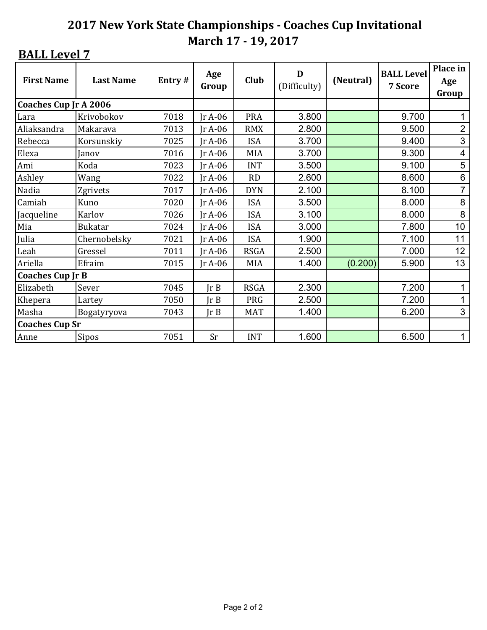| <b>First Name</b>       | <b>Last Name</b> | Entry# | Age<br>Group | Club        | D<br>(Difficulty) | (Neutral) | <b>BALL Level</b><br>7 Score | Place in<br>Age<br>Group |
|-------------------------|------------------|--------|--------------|-------------|-------------------|-----------|------------------------------|--------------------------|
| Coaches Cup Jr A 2006   |                  |        |              |             |                   |           |                              |                          |
| Lara                    | Krivobokov       | 7018   | $IrA-06$     | <b>PRA</b>  | 3.800             |           | 9.700                        | 1                        |
| Aliaksandra             | Makarava         | 7013   | $IrA-06$     | <b>RMX</b>  | 2.800             |           | 9.500                        | $\overline{2}$           |
| Rebecca                 | Korsunskiy       | 7025   | $IrA-06$     | <b>ISA</b>  | 3.700             |           | 9.400                        | $\mathfrak{S}$           |
| Elexa                   | Janov            | 7016   | $IrA-06$     | <b>MIA</b>  | 3.700             |           | 9.300                        | $\overline{4}$           |
| Ami                     | Koda             | 7023   | $IrA-06$     | <b>INT</b>  | 3.500             |           | 9.100                        | 5                        |
| Ashley                  | Wang             | 7022   | $IrA-06$     | <b>RD</b>   | 2.600             |           | 8.600                        | $6\phantom{1}6$          |
| Nadia                   | Zgrivets         | 7017   | $IrA-06$     | <b>DYN</b>  | 2.100             |           | 8.100                        | $\overline{7}$           |
| Camiah                  | Kuno             | 7020   | $IrA-06$     | <b>ISA</b>  | 3.500             |           | 8.000                        | 8                        |
| Jacqueline              | Karlov           | 7026   | $IrA-06$     | <b>ISA</b>  | 3.100             |           | 8.000                        | 8                        |
| Mia                     | <b>Bukatar</b>   | 7024   | $IrA-06$     | <b>ISA</b>  | 3.000             |           | 7.800                        | 10                       |
| Julia                   | Chernobelsky     | 7021   | $IrA-06$     | <b>ISA</b>  | 1.900             |           | 7.100                        | 11                       |
| Leah                    | Gressel          | 7011   | $IrA-06$     | <b>RSGA</b> | 2.500             |           | 7.000                        | 12                       |
| Ariella                 | Efraim           | 7015   | $IrA-06$     | MIA         | 1.400             | (0.200)   | 5.900                        | 13                       |
| <b>Coaches Cup Jr B</b> |                  |        |              |             |                   |           |                              |                          |
| Elizabeth               | Sever            | 7045   | Ir B         | <b>RSGA</b> | 2.300             |           | 7.200                        | 1                        |
| Khepera                 | Lartey           | 7050   | JrB          | PRG         | 2.500             |           | 7.200                        | $\mathbf{1}$             |
| Masha                   | Bogatyryova      | 7043   | Ir B         | <b>MAT</b>  | 1.400             |           | 6.200                        | 3                        |
| <b>Coaches Cup Sr</b>   |                  |        |              |             |                   |           |                              |                          |
| Anne                    | <b>Sipos</b>     | 7051   | <b>Sr</b>    | <b>INT</b>  | 1.600             |           | 6.500                        | 1                        |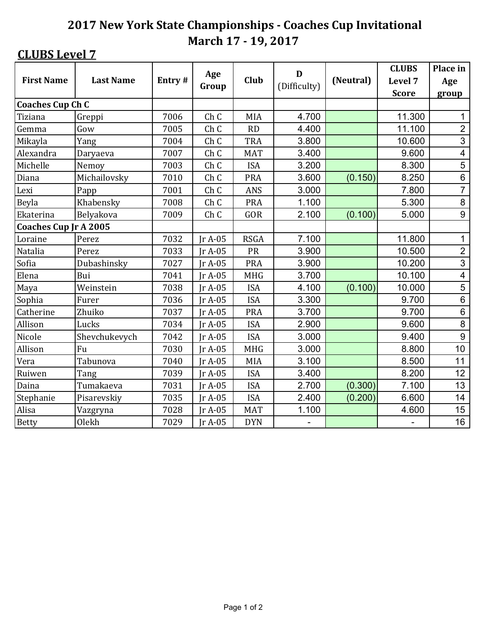| <b>First Name</b>            | <b>Last Name</b> | Entry# | Age             | <b>Club</b> | D<br>(Difficulty)        | (Neutral) | <b>CLUBS</b><br>Level 7  | Place in<br>Age         |
|------------------------------|------------------|--------|-----------------|-------------|--------------------------|-----------|--------------------------|-------------------------|
|                              |                  |        | Group           |             |                          |           | <b>Score</b>             | group                   |
| <b>Coaches Cup Ch C</b>      |                  |        |                 |             |                          |           |                          |                         |
| Tiziana                      | Greppi           | 7006   | Ch C            | MIA         | 4.700                    |           | 11.300                   | 1                       |
| Gemma                        | Gow              | 7005   | Ch <sub>C</sub> | RD          | 4.400                    |           | 11.100                   | $\overline{2}$          |
| Mikayla                      | Yang             | 7004   | Ch <sub>C</sub> | <b>TRA</b>  | 3.800                    |           | 10.600                   | 3                       |
| Alexandra                    | Daryaeva         | 7007   | Ch C            | <b>MAT</b>  | 3.400                    |           | 9.600                    | $\overline{\mathbf{4}}$ |
| Michelle                     | Nemoy            | 7003   | Ch <sub>C</sub> | <b>ISA</b>  | 3.200                    |           | 8.300                    | 5                       |
| Diana                        | Michailovsky     | 7010   | Ch <sub>C</sub> | <b>PRA</b>  | 3.600                    | (0.150)   | 8.250                    | $\,6$                   |
| Lexi                         | Papp             | 7001   | Ch <sub>C</sub> | <b>ANS</b>  | 3.000                    |           | 7.800                    | $\overline{7}$          |
| Beyla                        | Khabensky        | 7008   | Ch <sub>C</sub> | <b>PRA</b>  | 1.100                    |           | 5.300                    | 8                       |
| Ekaterina                    | Belyakova        | 7009   | Ch <sub>C</sub> | GOR         | 2.100                    | (0.100)   | 5.000                    | $\overline{9}$          |
| <b>Coaches Cup Jr A 2005</b> |                  |        |                 |             |                          |           |                          |                         |
| Loraine                      | Perez            | 7032   | $IrA-05$        | <b>RSGA</b> | 7.100                    |           | 11.800                   | $\mathbf 1$             |
| Natalia                      | Perez            | 7033   | $IrA-05$        | PR          | 3.900                    |           | 10.500                   | $\overline{2}$          |
| Sofia                        | Dubashinsky      | 7027   | $IrA-05$        | <b>PRA</b>  | 3.900                    |           | 10.200                   | 3                       |
| Elena                        | Bui              | 7041   | $IrA-05$        | <b>MHG</b>  | 3.700                    |           | 10.100                   | $\overline{\mathbf{4}}$ |
| Maya                         | Weinstein        | 7038   | $IrA-05$        | <b>ISA</b>  | 4.100                    | (0.100)   | 10.000                   | 5                       |
| Sophia                       | Furer            | 7036   | $IrA-05$        | <b>ISA</b>  | 3.300                    |           | 9.700                    | $\,6$                   |
| Catherine                    | Zhuiko           | 7037   | $IrA-05$        | <b>PRA</b>  | 3.700                    |           | 9.700                    | $\,6$                   |
| Allison                      | Lucks            | 7034   | $IrA-05$        | <b>ISA</b>  | 2.900                    |           | 9.600                    | $\bf 8$                 |
| Nicole                       | Shevchukevych    | 7042   | $IrA-05$        | <b>ISA</b>  | 3.000                    |           | 9.400                    | $\overline{9}$          |
| Allison                      | Fu               | 7030   | $IrA-05$        | <b>MHG</b>  | 3.000                    |           | 8.800                    | 10                      |
| Vera                         | Tabunova         | 7040   | $IrA-05$        | MIA         | 3.100                    |           | 8.500                    | 11                      |
| Ruiwen                       | Tang             | 7039   | $IrA-05$        | <b>ISA</b>  | 3.400                    |           | 8.200                    | 12                      |
| Daina                        | Tumakaeva        | 7031   | $IrA-05$        | <b>ISA</b>  | 2.700                    | (0.300)   | 7.100                    | 13                      |
| Stephanie                    | Pisarevskiy      | 7035   | $IrA-05$        | <b>ISA</b>  | 2.400                    | (0.200)   | 6.600                    | 14                      |
| Alisa                        | Vazgryna         | 7028   | Jr A-05         | <b>MAT</b>  | 1.100                    |           | 4.600                    | 15                      |
| <b>Betty</b>                 | Olekh            | 7029   | Jr A-05         | <b>DYN</b>  | $\overline{\phantom{0}}$ |           | $\overline{\phantom{0}}$ | 16                      |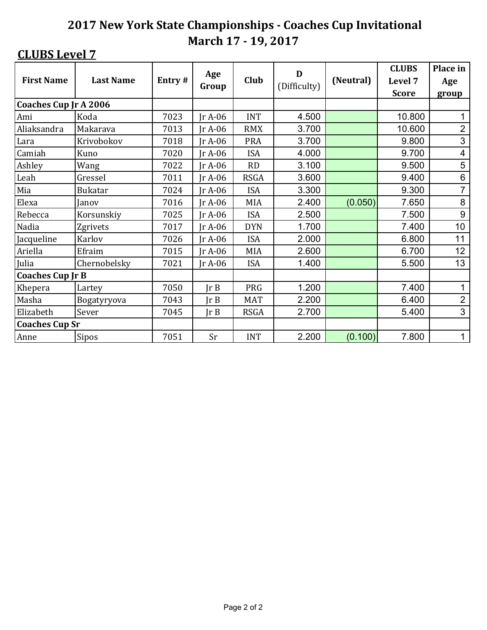|                              |                  |        | Age            |             | D            |           | <b>CLUBS</b> | Place in        |
|------------------------------|------------------|--------|----------------|-------------|--------------|-----------|--------------|-----------------|
| <b>First Name</b>            | <b>Last Name</b> | Entry# | Group          | Club        | (Difficulty) | (Neutral) | Level 7      | Age             |
|                              |                  |        |                |             |              |           | <b>Score</b> | group           |
| <b>Coaches Cup Jr A 2006</b> |                  |        |                |             |              |           |              |                 |
| Ami                          | Koda             | 7023   | $IrA-06$       | <b>INT</b>  | 4.500        |           | 10.800       |                 |
| Aliaksandra                  | Makarava         | 7013   | $IrA-06$       | <b>RMX</b>  | 3.700        |           | 10.600       | $\overline{2}$  |
| Lara                         | Krivobokov       | 7018   | $IrA-06$       | <b>PRA</b>  | 3.700        |           | 9.800        | 3               |
| Camiah                       | Kuno             | 7020   | $IrA-06$       | <b>ISA</b>  | 4.000        |           | 9.700        | 4               |
| Ashley                       | Wang             | 7022   | $IrA-06$       | <b>RD</b>   | 3.100        |           | 9.500        | 5               |
| Leah                         | Gressel          | 7011   | $IrA-06$       | <b>RSGA</b> | 3.600        |           | 9.400        | 6               |
| Mia                          | <b>Bukatar</b>   | 7024   | $IrA-06$       | <b>ISA</b>  | 3.300        |           | 9.300        | $\overline{7}$  |
| Elexa                        | Janov            | 7016   | $IrA-06$       | <b>MIA</b>  | 2.400        | (0.050)   | 7.650        | 8               |
| Rebecca                      | Korsunskiy       | 7025   | $IrA-06$       | <b>ISA</b>  | 2.500        |           | 7.500        | 9               |
| Nadia                        | Zgrivets         | 7017   | $IrA-06$       | <b>DYN</b>  | 1.700        |           | 7.400        | 10 <sup>1</sup> |
| Jacqueline                   | Karlov           | 7026   | $IrA-06$       | <b>ISA</b>  | 2.000        |           | 6.800        | 11              |
| Ariella                      | Efraim           | 7015   | $IrA-06$       | <b>MIA</b>  | 2.600        |           | 6.700        | 12              |
| Julia                        | Chernobelsky     | 7021   | $IrA-06$       | <b>ISA</b>  | 1.400        |           | 5.500        | 13              |
| <b>Coaches Cup Jr B</b>      |                  |        |                |             |              |           |              |                 |
| Khepera                      | Lartey           | 7050   | Ir B           | PRG         | 1.200        |           | 7.400        | 1               |
| Masha                        | Bogatyryova      | 7043   | Ir B           | <b>MAT</b>  | 2.200        |           | 6.400        | $\overline{2}$  |
| Elizabeth                    | Sever            | 7045   | $\text{lr } B$ | <b>RSGA</b> | 2.700        |           | 5.400        | 3               |
| <b>Coaches Cup Sr</b>        |                  |        |                |             |              |           |              |                 |
| Anne                         | <b>Sipos</b>     | 7051   | Sr             | <b>INT</b>  | 2.200        | (0.100)   | 7.800        | 1               |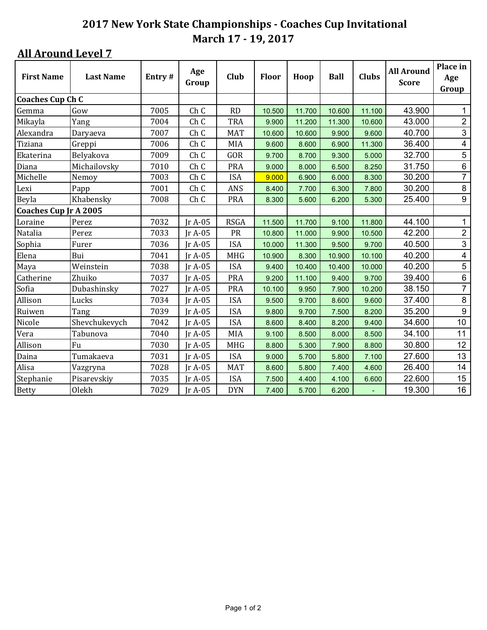| <b>First Name</b>            | <b>Last Name</b> | Entry# | Age<br>Group    | Club        | <b>Floor</b> | Hoop   | Ball   | <b>Clubs</b> | <b>All Around</b><br><b>Score</b> | Place in<br>Age<br>Group |
|------------------------------|------------------|--------|-----------------|-------------|--------------|--------|--------|--------------|-----------------------------------|--------------------------|
| <b>Coaches Cup Ch C</b>      |                  |        |                 |             |              |        |        |              |                                   |                          |
| Gemma                        | Gow              | 7005   | Ch C            | <b>RD</b>   | 10.500       | 11.700 | 10.600 | 11.100       | 43.900                            | 1                        |
| Mikayla                      | Yang             | 7004   | Ch C            | <b>TRA</b>  | 9.900        | 11.200 | 11.300 | 10.600       | 43.000                            | $\overline{2}$           |
| Alexandra                    | Daryaeva         | 7007   | Ch C            | <b>MAT</b>  | 10.600       | 10.600 | 9.900  | 9.600        | 40.700                            | 3                        |
| Tiziana                      | Greppi           | 7006   | Ch C            | MIA         | 9.600        | 8.600  | 6.900  | 11.300       | 36.400                            | $\overline{4}$           |
| Ekaterina                    | Belyakova        | 7009   | Ch C            | GOR         | 9.700        | 8.700  | 9.300  | 5.000        | 32.700                            | $\overline{5}$           |
| Diana                        | Michailovsky     | 7010   | Ch C            | <b>PRA</b>  | 9.000        | 8.000  | 6.500  | 8.250        | 31.750                            | $\,6\,$                  |
| Michelle                     | Nemoy            | 7003   | Ch C            | <b>ISA</b>  | 9.000        | 6.900  | 6.000  | 8.300        | 30.200                            | $\overline{7}$           |
| Lexi                         | Papp             | 7001   | Ch C            | <b>ANS</b>  | 8.400        | 7.700  | 6.300  | 7.800        | 30.200                            | $\,8\,$                  |
| Beyla                        | Khabensky        | 7008   | Ch <sub>C</sub> | <b>PRA</b>  | 8.300        | 5.600  | 6.200  | 5.300        | 25.400                            | 9                        |
| <b>Coaches Cup Jr A 2005</b> |                  |        |                 |             |              |        |        |              |                                   |                          |
| Loraine                      | Perez            | 7032   | $IrA-05$        | <b>RSGA</b> | 11.500       | 11.700 | 9.100  | 11.800       | 44.100                            | $\mathbf{1}$             |
| Natalia                      | Perez            | 7033   | Jr A-05         | PR          | 10.800       | 11.000 | 9.900  | 10.500       | 42.200                            | $\overline{2}$           |
| Sophia                       | Furer            | 7036   | $IrA-05$        | <b>ISA</b>  | 10.000       | 11.300 | 9.500  | 9.700        | 40.500                            | 3                        |
| Elena                        | Bui              | 7041   | Jr A-05         | <b>MHG</b>  | 10.900       | 8.300  | 10.900 | 10.100       | 40.200                            | $\overline{4}$           |
| Maya                         | Weinstein        | 7038   | $IrA-05$        | <b>ISA</b>  | 9.400        | 10.400 | 10.400 | 10.000       | 40.200                            | 5                        |
| Catherine                    | Zhuiko           | 7037   | $IrA-05$        | <b>PRA</b>  | 9.200        | 11.100 | 9.400  | 9.700        | 39.400                            | $\,6\,$                  |
| Sofia                        | Dubashinsky      | 7027   | Jr A-05         | <b>PRA</b>  | 10.100       | 9.950  | 7.900  | 10.200       | 38.150                            | $\overline{7}$           |
| Allison                      | Lucks            | 7034   | $IrA-05$        | <b>ISA</b>  | 9.500        | 9.700  | 8.600  | 9.600        | 37.400                            | $\bf 8$                  |
| Ruiwen                       | Tang             | 7039   | $IrA-05$        | <b>ISA</b>  | 9.800        | 9.700  | 7.500  | 8.200        | 35.200                            | 9                        |
| Nicole                       | Shevchukevych    | 7042   | $IrA-05$        | <b>ISA</b>  | 8.600        | 8.400  | 8.200  | 9.400        | 34.600                            | 10                       |
| Vera                         | Tabunova         | 7040   | Jr A-05         | MIA         | 9.100        | 8.500  | 8.000  | 8.500        | 34.100                            | 11                       |
| Allison                      | Fu               | 7030   | Jr A-05         | <b>MHG</b>  | 8.800        | 5.300  | 7.900  | 8.800        | 30.800                            | 12                       |
| Daina                        | Tumakaeva        | 7031   | $IrA-05$        | <b>ISA</b>  | 9.000        | 5.700  | 5.800  | 7.100        | 27.600                            | 13                       |
| Alisa                        | Vazgryna         | 7028   | $IrA-05$        | <b>MAT</b>  | 8.600        | 5.800  | 7.400  | 4.600        | 26.400                            | 14                       |
| Stephanie                    | Pisarevskiy      | 7035   | $IrA-05$        | <b>ISA</b>  | 7.500        | 4.400  | 4.100  | 6.600        | 22.600                            | 15                       |
| <b>Betty</b>                 | Olekh            | 7029   | $IrA-05$        | <b>DYN</b>  | 7.400        | 5.700  | 6.200  |              | 19.300                            | 16                       |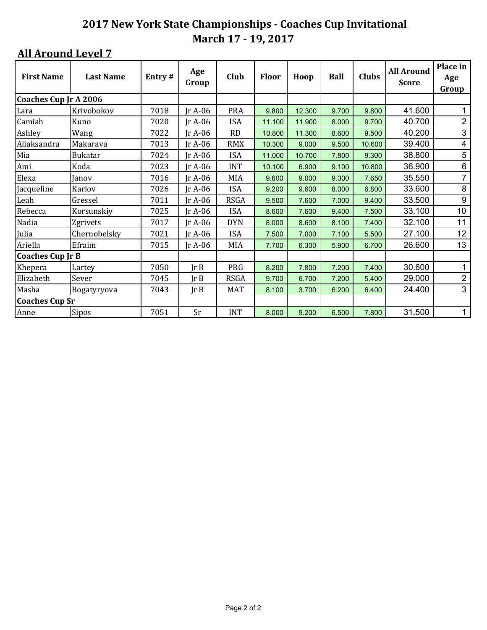| <b>First Name</b>            | <b>Last Name</b> | Entry# | Age<br>Group   | Club        | <b>Floor</b> | Hoop   | <b>Ball</b> | <b>Clubs</b> | <b>All Around</b><br><b>Score</b> | Place in<br>Age<br>Group |
|------------------------------|------------------|--------|----------------|-------------|--------------|--------|-------------|--------------|-----------------------------------|--------------------------|
| <b>Coaches Cup Jr A 2006</b> |                  |        |                |             |              |        |             |              |                                   |                          |
| Lara                         | Krivobokov       | 7018   | r A-06         | <b>PRA</b>  | 9.800        | 12.300 | 9.700       | 9.800        | 41.600                            |                          |
| Camiah                       | Kuno             | 7020   | Ir A-06        | <b>ISA</b>  | 11.100       | 11.900 | 8.000       | 9.700        | 40.700                            | $\overline{2}$           |
| Ashley                       | Wang             | 7022   | $IrA-06$       | <b>RD</b>   | 10.800       | 11.300 | 8.600       | 9.500        | 40.200                            | $\mathfrak{S}$           |
| Aliaksandra                  | Makarava         | 7013   | $IrA-06$       | <b>RMX</b>  | 10.300       | 9.000  | 9.500       | 10.600       | 39.400                            | $\overline{4}$           |
| Mia                          | <b>Bukatar</b>   | 7024   | $IrA-06$       | <b>ISA</b>  | 11.000       | 10.700 | 7.800       | 9.300        | 38.800                            | 5                        |
| Ami                          | Koda             | 7023   | $IrA-06$       | <b>INT</b>  | 10.100       | 6.900  | 9.100       | 10.800       | 36.900                            | $\,6\,$                  |
| Elexa                        | Janov            | 7016   | $IrA-06$       | MIA         | 9.600        | 9.000  | 9.300       | 7.650        | 35.550                            | $\overline{7}$           |
| Jacqueline                   | Karlov           | 7026   | Jr A-06        | <b>ISA</b>  | 9.200        | 9.600  | 8.000       | 6.800        | 33.600                            | $\, 8$                   |
| Leah                         | Gressel          | 7011   | Ir A-06        | <b>RSGA</b> | 9.500        | 7.600  | 7.000       | 9.400        | 33.500                            | $\boldsymbol{9}$         |
| Rebecca                      | Korsunskiy       | 7025   | Jr A-06        | <b>ISA</b>  | 8.600        | 7.600  | 9.400       | 7.500        | 33.100                            | 10 <sub>1</sub>          |
| Nadia                        | Zgrivets         | 7017   | $IrA-06$       | <b>DYN</b>  | 8.000        | 8.600  | 8.100       | 7.400        | 32.100                            | 11                       |
| Julia                        | Chernobelsky     | 7021   | $IrA-06$       | <b>ISA</b>  | 7.500        | 7.000  | 7.100       | 5.500        | 27.100                            | 12                       |
| Ariella                      | Efraim           | 7015   | $IrA-06$       | MIA         | 7.700        | 6.300  | 5.900       | 6.700        | 26.600                            | 13                       |
| <b>Coaches Cup Jr B</b>      |                  |        |                |             |              |        |             |              |                                   |                          |
| Khepera                      | Lartey           | 7050   | JrB            | PRG         | 8.200        | 7.800  | 7.200       | 7.400        | 30.600                            | 1                        |
| Elizabeth                    | Sever            | 7045   | Ir B           | <b>RSGA</b> | 9.700        | 6.700  | 7.200       | 5.400        | 29.000                            | $\overline{2}$           |
| Masha                        | Bogatyryova      | 7043   | $\text{Tr } B$ | <b>MAT</b>  | 8.100        | 3.700  | 6.200       | 6.400        | 24.400                            | 3                        |
| <b>Coaches Cup Sr</b>        |                  |        |                |             |              |        |             |              |                                   |                          |
| Anne                         | Sipos            | 7051   | Sr             | <b>INT</b>  | 8.000        | 9.200  | 6.500       | 7.800        | 31.500                            | $\mathbf{1}$             |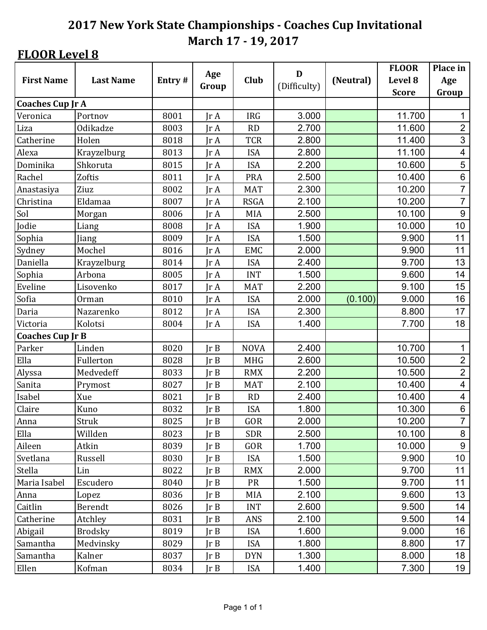## **FLOOR Level 8**

|                         |                  | Age    | D              |             | <b>FLOOR</b> | Place in  |              |                          |
|-------------------------|------------------|--------|----------------|-------------|--------------|-----------|--------------|--------------------------|
| <b>First Name</b>       | <b>Last Name</b> | Entry# | Group          | Club        | (Difficulty) | (Neutral) | Level 8      | Age                      |
|                         |                  |        |                |             |              |           | <b>Score</b> | Group                    |
| <b>Coaches Cup Jr A</b> |                  |        |                |             |              |           |              |                          |
| Veronica                | Portnov          | 8001   | IrA            | <b>IRG</b>  | 3.000        |           | 11.700       | 1                        |
| Liza                    | Odikadze         | 8003   | Jr A           | RD          | 2.700        |           | 11.600       | $\overline{2}$           |
| Catherine               | Holen            | 8018   | $\text{Tr }A$  | <b>TCR</b>  | 2.800        |           | 11.400       | 3                        |
| Alexa                   | Krayzelburg      | 8013   | IrA            | <b>ISA</b>  | 2.800        |           | 11.100       | $\overline{\mathcal{A}}$ |
| Dominika                | Shkoruta         | 8015   | JrA            | <b>ISA</b>  | 2.200        |           | 10.600       | 5                        |
| Rachel                  | Zoftis           | 8011   | $\text{Tr }A$  | <b>PRA</b>  | 2.500        |           | 10.400       | $\,6$                    |
| Anastasiya              | Ziuz             | 8002   | $\text{Tr }A$  | <b>MAT</b>  | 2.300        |           | 10.200       | $\overline{7}$           |
| Christina               | Eldamaa          | 8007   | IrA            | <b>RSGA</b> | 2.100        |           | 10.200       | $\overline{7}$           |
| Sol                     | Morgan           | 8006   | IrA            | <b>MIA</b>  | 2.500        |           | 10.100       | $9\,$                    |
| Jodie                   | Liang            | 8008   | Jr A           | <b>ISA</b>  | 1.900        |           | 10.000       | 10                       |
| Sophia                  | Jiang            | 8009   | IrA            | <b>ISA</b>  | 1.500        |           | 9.900        | 11                       |
| Sydney                  | Mochel           | 8016   | Jr A           | EMC         | 2.000        |           | 9.900        | 11                       |
| Daniella                | Krayzelburg      | 8014   | JrA            | <b>ISA</b>  | 2.400        |           | 9.700        | 13                       |
| Sophia                  | Arbona           | 8005   | $\text{Tr }A$  | <b>INT</b>  | 1.500        |           | 9.600        | 14                       |
| Eveline                 | Lisovenko        | 8017   | Jr A           | <b>MAT</b>  | 2.200        |           | 9.100        | 15                       |
| Sofia                   | Orman            | 8010   | IrA            | <b>ISA</b>  | 2.000        | (0.100)   | 9.000        | 16                       |
| Daria                   | Nazarenko        | 8012   | $\text{Tr }A$  | <b>ISA</b>  | 2.300        |           | 8.800        | 17                       |
| Victoria                | Kolotsi          | 8004   | $\text{Tr }A$  | <b>ISA</b>  | 1.400        |           | 7.700        | 18                       |
| <b>Coaches Cup Jr B</b> |                  |        |                |             |              |           |              |                          |
| Parker                  | Linden           | 8020   | Ir B           | <b>NOVA</b> | 2.400        |           | 10.700       | 1                        |
| Ella                    | Fullerton        | 8028   | Ir B           | <b>MHG</b>  | 2.600        |           | 10.500       | $\overline{2}$           |
| Alyssa                  | Medvedeff        | 8033   | Ir B           | <b>RMX</b>  | 2.200        |           | 10.500       | $\overline{2}$           |
| Sanita                  | Prymost          | 8027   | $\text{Tr } B$ | <b>MAT</b>  | 2.100        |           | 10.400       | 4                        |
| Isabel                  | Xue              | 8021   | Ir B           | RD          | 2.400        |           | 10.400       | 4                        |
| Claire                  | Kuno             | 8032   | Ir B           | <b>ISA</b>  | 1.800        |           | 10.300       | $\,6$                    |
| Anna                    | Struk            | 8025   | JrB            | GOR         | 2.000        |           | 10.200       | $\overline{7}$           |
| Ella                    | Willden          | 8023   | Ir B           | <b>SDR</b>  | 2.500        |           | 10.100       | 8                        |
| Aileen                  | Atkin            | 8039   | Ir B           | GOR         | 1.700        |           | 10.000       | $\boldsymbol{9}$         |
| Svetlana                | Russell          | 8030   | JrB            | <b>ISA</b>  | 1.500        |           | 9.900        | 10                       |
| Stella                  | Lin              | 8022   | $\text{lr } B$ | <b>RMX</b>  | 2.000        |           | 9.700        | 11                       |
| Maria Isabel            | Escudero         | 8040   | Ir B           | <b>PR</b>   | 1.500        |           | 9.700        | 11                       |
| Anna                    | Lopez            | 8036   | JrB            | MIA         | 2.100        |           | 9.600        | 13                       |
| Caitlin                 | Berendt          | 8026   | JrB            | <b>INT</b>  | 2.600        |           | 9.500        | 14                       |
| Catherine               | Atchley          | 8031   | $\text{lr } B$ | ANS         | 2.100        |           | 9.500        | 14                       |
| Abigail                 | <b>Brodsky</b>   | 8019   | Jr B           | <b>ISA</b>  | 1.600        |           | 9.000        | 16                       |
| Samantha                | Medvinsky        | 8029   | JrB            | <b>ISA</b>  | 1.800        |           | 8.800        | 17                       |
| Samantha                | Kalner           | 8037   | Jr B           | <b>DYN</b>  | 1.300        |           | 8.000        | 18                       |
| Ellen                   | Kofman           | 8034   | JrB            | <b>ISA</b>  | 1.400        |           | 7.300        | 19                       |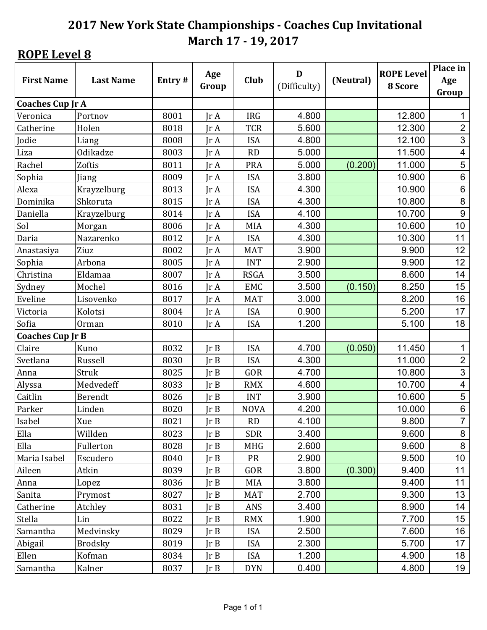## **ROPE** Level 8

|                         |                  |        | Age           |             | D            |           | <b>ROPE Level</b> | Place in                 |
|-------------------------|------------------|--------|---------------|-------------|--------------|-----------|-------------------|--------------------------|
| <b>First Name</b>       | <b>Last Name</b> | Entry# | Group         | <b>Club</b> | (Difficulty) | (Neutral) | 8 Score           | Age                      |
|                         |                  |        |               |             |              |           |                   | Group                    |
| <b>Coaches Cup Jr A</b> |                  |        |               |             |              |           |                   |                          |
| Veronica                | Portnov          | 8001   | IrA           | <b>IRG</b>  | 4.800        |           | 12.800            | 1                        |
| Catherine               | Holen            | 8018   | IrA           | <b>TCR</b>  | 5.600        |           | 12.300            | $\overline{2}$           |
| Jodie                   | Liang            | 8008   | $\text{Tr }A$ | <b>ISA</b>  | 4.800        |           | 12.100            | $\mathfrak{S}$           |
| Liza                    | Odikadze         | 8003   | IrA           | RD          | 5.000        |           | 11.500            | $\overline{\mathcal{A}}$ |
| Rachel                  | Zoftis           | 8011   | IrA           | <b>PRA</b>  | 5.000        | (0.200)   | 11.000            | 5                        |
| Sophia                  | Jiang            | 8009   | Jr A          | <b>ISA</b>  | 3.800        |           | 10.900            | $\,6$                    |
| Alexa                   | Krayzelburg      | 8013   | $\text{Tr }A$ | <b>ISA</b>  | 4.300        |           | 10.900            | $\,6$                    |
| Dominika                | Shkoruta         | 8015   | IrA           | <b>ISA</b>  | 4.300        |           | 10.800            | $\bf 8$                  |
| Daniella                | Krayzelburg      | 8014   | IrA           | <b>ISA</b>  | 4.100        |           | 10.700            | $9\,$                    |
| Sol                     | Morgan           | 8006   | $\text{Tr }A$ | MIA         | 4.300        |           | 10.600            | 10                       |
| Daria                   | Nazarenko        | 8012   | IrA           | <b>ISA</b>  | 4.300        |           | 10.300            | 11                       |
| Anastasiya              | Ziuz             | 8002   | Jr A          | <b>MAT</b>  | 3.900        |           | 9.900             | 12                       |
| Sophia                  | Arbona           | 8005   | $\text{Tr }A$ | <b>INT</b>  | 2.900        |           | 9.900             | 12                       |
| Christina               | Eldamaa          | 8007   | Jr A          | <b>RSGA</b> | 3.500        |           | 8.600             | 14                       |
| Sydney                  | Mochel           | 8016   | Jr A          | <b>EMC</b>  | 3.500        | (0.150)   | 8.250             | 15                       |
| Eveline                 | Lisovenko        | 8017   | IrA           | <b>MAT</b>  | 3.000        |           | 8.200             | 16                       |
| Victoria                | Kolotsi          | 8004   | $\text{Tr }A$ | <b>ISA</b>  | 0.900        |           | 5.200             | 17                       |
| Sofia                   | Orman            | 8010   | IrA           | <b>ISA</b>  | 1.200        |           | 5.100             | 18                       |
| <b>Coaches Cup Jr B</b> |                  |        |               |             |              |           |                   |                          |
| Claire                  | Kuno             | 8032   | Ir B          | <b>ISA</b>  | 4.700        | (0.050)   | 11.450            | 1                        |
| Svetlana                | Russell          | 8030   | Ir B          | <b>ISA</b>  | 4.300        |           | 11.000            | $\overline{2}$           |
| Anna                    | Struk            | 8025   | Ir B          | GOR         | 4.700        |           | 10.800            | $\mathfrak{S}$           |
| Alyssa                  | Medvedeff        | 8033   | Ir B          | <b>RMX</b>  | 4.600        |           | 10.700            | 4                        |
| Caitlin                 | Berendt          | 8026   | Ir B          | <b>INT</b>  | 3.900        |           | 10.600            | $\sqrt{5}$               |
| Parker                  | Linden           | 8020   | Ir B          | <b>NOVA</b> | 4.200        |           | 10.000            | $\,6$                    |
| Isabel                  | Xue              | 8021   | JrB           | RD          | 4.100        |           | 9.800             | $\overline{7}$           |
| Ella                    | Willden          | 8023   | Ir B          | <b>SDR</b>  | 3.400        |           | 9.600             | 8                        |
| Ella                    | Fullerton        | 8028   | JrB           | <b>MHG</b>  | 2.600        |           | 9.600             | 8                        |
| Maria Isabel            | Escudero         | 8040   | JrB           | PR          | 2.900        |           | 9.500             | 10                       |
| Aileen                  | Atkin            | 8039   | Ir B          | GOR         | 3.800        | (0.300)   | 9.400             | 11                       |
| Anna                    | Lopez            | 8036   | JrB           | MIA         | 3.800        |           | 9.400             | 11                       |
| Sanita                  | Prymost          | 8027   | JrB           | <b>MAT</b>  | 2.700        |           | 9.300             | 13                       |
| Catherine               | Atchley          | 8031   | JrB           | ANS         | 3.400        |           | 8.900             | 14                       |
| Stella                  | Lin              | 8022   | Ir B          | <b>RMX</b>  | 1.900        |           | 7.700             | 15                       |
| Samantha                | Medvinsky        | 8029   | JrB           | <b>ISA</b>  | 2.500        |           | 7.600             | 16                       |
| Abigail                 | <b>Brodsky</b>   | 8019   | JrB           | <b>ISA</b>  | 2.300        |           | 5.700             | 17                       |
| Ellen                   | Kofman           | 8034   | Jr B          | <b>ISA</b>  | 1.200        |           | 4.900             | 18                       |
| Samantha                | Kalner           | 8037   | JrB           | <b>DYN</b>  | 0.400        |           | 4.800             | 19                       |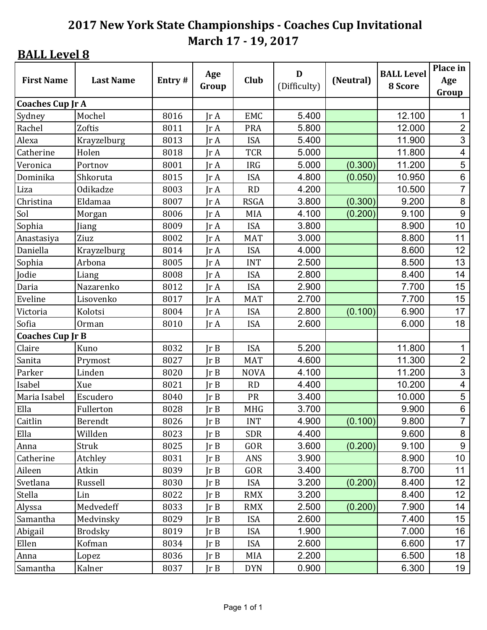| <b>First Name</b>       | <b>Last Name</b> | Entry# | Age<br>Group   | <b>Club</b> | D<br>(Difficulty) | (Neutral) | <b>BALL Level</b><br>8 Score | Place in<br>Age<br>Group |
|-------------------------|------------------|--------|----------------|-------------|-------------------|-----------|------------------------------|--------------------------|
| <b>Coaches Cup Jr A</b> |                  |        |                |             |                   |           |                              |                          |
| Sydney                  | Mochel           | 8016   | IrA            | <b>EMC</b>  | 5.400             |           | 12.100                       | 1                        |
| Rachel                  | Zoftis           | 8011   | IrA            | <b>PRA</b>  | 5.800             |           | 12.000                       | $\overline{2}$           |
| Alexa                   | Krayzelburg      | 8013   | $\text{Tr }A$  | <b>ISA</b>  | 5.400             |           | 11.900                       | 3                        |
| Catherine               | Holen            | 8018   | $\text{Ir } A$ | <b>TCR</b>  | 5.000             |           | 11.800                       | 4                        |
| Veronica                | Portnov          | 8001   | $\text{Tr }A$  | <b>IRG</b>  | 5.000             | (0.300)   | 11.200                       | 5                        |
| Dominika                | Shkoruta         | 8015   | $\text{Tr }A$  | <b>ISA</b>  | 4.800             | (0.050)   | 10.950                       | $6\phantom{a}$           |
| Liza                    | Odikadze         | 8003   | $\text{Tr }A$  | <b>RD</b>   | 4.200             |           | 10.500                       | $\overline{7}$           |
| Christina               | Eldamaa          | 8007   | $\text{Tr }A$  | <b>RSGA</b> | 3.800             | (0.300)   | 9.200                        | 8                        |
| Sol                     | Morgan           | 8006   | Jr A           | <b>MIA</b>  | 4.100             | (0.200)   | 9.100                        | 9                        |
| Sophia                  | Jiang            | 8009   | Jr A           | <b>ISA</b>  | 3.800             |           | 8.900                        | 10                       |
| Anastasiya              | Ziuz             | 8002   | $\text{Ir } A$ | <b>MAT</b>  | 3.000             |           | 8.800                        | 11                       |
| Daniella                | Krayzelburg      | 8014   | IrA            | <b>ISA</b>  | 4.000             |           | 8.600                        | 12                       |
| Sophia                  | Arbona           | 8005   | IrA            | <b>INT</b>  | 2.500             |           | 8.500                        | 13                       |
| Jodie                   | Liang            | 8008   | Jr A           | <b>ISA</b>  | 2.800             |           | 8.400                        | 14                       |
| Daria                   | Nazarenko        | 8012   | $\text{Tr }A$  | <b>ISA</b>  | 2.900             |           | 7.700                        | 15                       |
| Eveline                 | Lisovenko        | 8017   | Jr A           | <b>MAT</b>  | 2.700             |           | 7.700                        | 15                       |
| Victoria                | Kolotsi          | 8004   | $\text{Tr }A$  | <b>ISA</b>  | 2.800             | (0.100)   | 6.900                        | 17                       |
| Sofia                   | Orman            | 8010   | $\text{Tr }A$  | <b>ISA</b>  | 2.600             |           | 6.000                        | 18                       |
| <b>Coaches Cup Jr B</b> |                  |        |                |             |                   |           |                              |                          |
| Claire                  | Kuno             | 8032   | Ir B           | <b>ISA</b>  | 5.200             |           | 11.800                       | 1                        |
| Sanita                  | Prymost          | 8027   | Ir B           | <b>MAT</b>  | 4.600             |           | 11.300                       | $\overline{2}$           |
| Parker                  | Linden           | 8020   | Ir B           | <b>NOVA</b> | 4.100             |           | 11.200                       | 3                        |
| Isabel                  | Xue              | 8021   | Ir B           | RD          | 4.400             |           | 10.200                       | $\overline{\mathcal{A}}$ |
| Maria Isabel            | Escudero         | 8040   | Ir B           | PR          | 3.400             |           | 10.000                       | 5                        |
| Ella                    | Fullerton        | 8028   | Ir B           | <b>MHG</b>  | 3.700             |           | 9.900                        | $\,6$                    |
| Caitlin                 | Berendt          | 8026   | JrB            | <b>INT</b>  | 4.900             | (0.100)   | 9.800                        | $\overline{7}$           |
| Ella                    | Willden          | 8023   | Ir B           | <b>SDR</b>  | 4.400             |           | 9.600                        | 8                        |
| Anna                    | Struk            | 8025   | Ir B           | GOR         | 3.600             | (0.200)   | 9.100                        | $\boldsymbol{9}$         |
| Catherine               | Atchley          | 8031   | JrB            | ANS         | 3.900             |           | 8.900                        | 10                       |
| Aileen                  | Atkin            | 8039   | Ir B           | GOR         | 3.400             |           | 8.700                        | 11                       |
| Svetlana                | Russell          | 8030   | Ir B           | <b>ISA</b>  | 3.200             | (0.200)   | 8.400                        | 12                       |
| Stella                  | Lin              | 8022   | JrB            | <b>RMX</b>  | 3.200             |           | 8.400                        | 12 <sub>2</sub>          |
| Alyssa                  | Medvedeff        | 8033   | JrB            | <b>RMX</b>  | 2.500             | (0.200)   | 7.900                        | 14                       |
| Samantha                | Medvinsky        | 8029   | Ir B           | <b>ISA</b>  | 2.600             |           | 7.400                        | 15                       |
| Abigail                 | <b>Brodsky</b>   | 8019   | Ir B           | <b>ISA</b>  | 1.900             |           | 7.000                        | 16                       |
| Ellen                   | Kofman           | 8034   | JrB            | <b>ISA</b>  | 2.600             |           | 6.600                        | 17                       |
| Anna                    | Lopez            | 8036   | JrB            | MIA         | 2.200             |           | 6.500                        | 18                       |
| Samantha                | Kalner           | 8037   | JrB            | <b>DYN</b>  | 0.900             |           | 6.300                        | 19                       |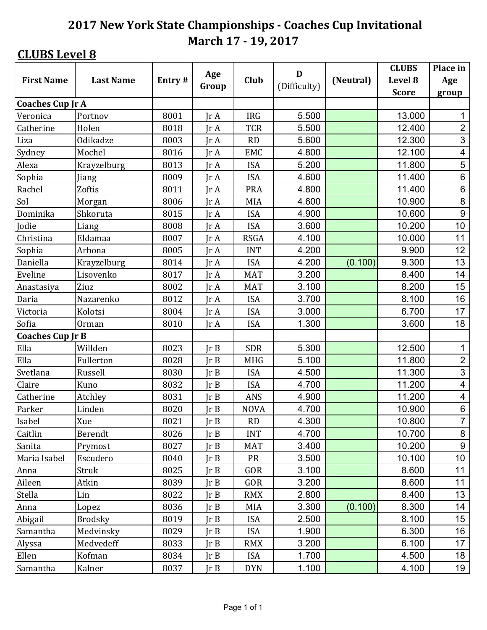|                         |                  |        | Age           |             | D            |           | <b>CLUBS</b> | Place in                 |
|-------------------------|------------------|--------|---------------|-------------|--------------|-----------|--------------|--------------------------|
| <b>First Name</b>       | <b>Last Name</b> | Entry# | Group         | <b>Club</b> | (Difficulty) | (Neutral) | Level 8      | Age                      |
|                         |                  |        |               |             |              |           | <b>Score</b> | group                    |
| <b>Coaches Cup Jr A</b> |                  |        |               |             |              |           |              |                          |
| Veronica                | Portnov          | 8001   | IrA           | <b>IRG</b>  | 5.500        |           | 13.000       | 1                        |
| Catherine               | Holen            | 8018   | IrA           | <b>TCR</b>  | 5.500        |           | 12.400       | $\overline{2}$           |
| Liza                    | Odikadze         | 8003   | $\text{Tr }A$ | RD          | 5.600        |           | 12.300       | 3                        |
| Sydney                  | Mochel           | 8016   | IrA           | <b>EMC</b>  | 4.800        |           | 12.100       | 4                        |
| Alexa                   | Krayzelburg      | 8013   | Jr A          | <b>ISA</b>  | 5.200        |           | 11.800       | 5                        |
| Sophia                  | Jiang            | 8009   | IrA           | <b>ISA</b>  | 4.600        |           | 11.400       | $6\phantom{a}$           |
| Rachel                  | Zoftis           | 8011   | $\text{Tr }A$ | <b>PRA</b>  | 4.800        |           | 11.400       | $\,6$                    |
| Sol                     | Morgan           | 8006   | $\text{Tr }A$ | <b>MIA</b>  | 4.600        |           | 10.900       | 8                        |
| Dominika                | Shkoruta         | 8015   | Jr A          | <b>ISA</b>  | 4.900        |           | 10.600       | 9                        |
| Jodie                   | Liang            | 8008   | $\text{Tr }A$ | <b>ISA</b>  | 3.600        |           | 10.200       | 10                       |
| Christina               | Eldamaa          | 8007   | IrA           | <b>RSGA</b> | 4.100        |           | 10.000       | 11                       |
| Sophia                  | Arbona           | 8005   | Jr A          | <b>INT</b>  | 4.200        |           | 9.900        | 12                       |
| Daniella                | Krayzelburg      | 8014   | IrA           | <b>ISA</b>  | 4.200        | (0.100)   | 9.300        | 13                       |
| Eveline                 | Lisovenko        | 8017   | Jr A          | <b>MAT</b>  | 3.200        |           | 8.400        | 14                       |
| Anastasiya              | Ziuz             | 8002   | $\text{Tr }A$ | <b>MAT</b>  | 3.100        |           | 8.200        | 15                       |
| Daria                   | Nazarenko        | 8012   | Jr A          | <b>ISA</b>  | 3.700        |           | 8.100        | 16                       |
| Victoria                | Kolotsi          | 8004   | Jr A          | <b>ISA</b>  | 3.000        |           | 6.700        | 17                       |
| Sofia                   | Orman            | 8010   | $\text{Tr }A$ | <b>ISA</b>  | 1.300        |           | 3.600        | 18                       |
| <b>Coaches Cup Jr B</b> |                  |        |               |             |              |           |              |                          |
| Ella                    | Willden          | 8023   | Ir B          | <b>SDR</b>  | 5.300        |           | 12.500       | 1                        |
| Ella                    | Fullerton        | 8028   | Ir B          | <b>MHG</b>  | 5.100        |           | 11.800       | $\overline{2}$           |
| Svetlana                | Russell          | 8030   | Ir B          | <b>ISA</b>  | 4.500        |           | 11.300       | 3                        |
| Claire                  | Kuno             | 8032   | Ir B          | <b>ISA</b>  | 4.700        |           | 11.200       | $\overline{\mathcal{A}}$ |
| Catherine               | Atchley          | 8031   | $\text{Ir }B$ | ANS         | 4.900        |           | 11.200       | 4                        |
| Parker                  | Linden           | 8020   | JrB           | <b>NOVA</b> | 4.700        |           | 10.900       | $\,6$                    |
| Isabel                  | Xue              | 8021   | Jr B          | RD          | 4.300        |           | 10.800       | $\overline{7}$           |
| Caitlin                 | Berendt          | 8026   | Ir B          | <b>INT</b>  | 4.700        |           | 10.700       | 8                        |
| Sanita                  | Prymost          | 8027   | Ir B          | <b>MAT</b>  | 3.400        |           | 10.200       | $\boldsymbol{9}$         |
| Maria Isabel            | Escudero         | 8040   | JrB           | <b>PR</b>   | 3.500        |           | 10.100       | 10                       |
| Anna                    | Struk            | 8025   | Ir B          | GOR         | 3.100        |           | 8.600        | 11                       |
| Aileen                  | Atkin            | 8039   | Ir B          | GOR         | 3.200        |           | 8.600        | 11                       |
| Stella                  | Lin              | 8022   | Ir B          | <b>RMX</b>  | 2.800        |           | 8.400        | 13                       |
| Anna                    | Lopez            | 8036   | JrB           | MIA         | 3.300        | (0.100)   | 8.300        | 14                       |
| Abigail                 | <b>Brodsky</b>   | 8019   | Ir B          | <b>ISA</b>  | 2.500        |           | 8.100        | 15                       |
| Samantha                | Medvinsky        | 8029   | Ir B          | <b>ISA</b>  | 1.900        |           | 6.300        | 16                       |
| Alyssa                  | Medvedeff        | 8033   | JrB           | <b>RMX</b>  | 3.200        |           | 6.100        | 17                       |
| Ellen                   | Kofman           | 8034   | Ir B          | <b>ISA</b>  | 1.700        |           | 4.500        | 18                       |
| Samantha                | Kalner           | 8037   | JrB           | <b>DYN</b>  | 1.100        |           | 4.100        | 19                       |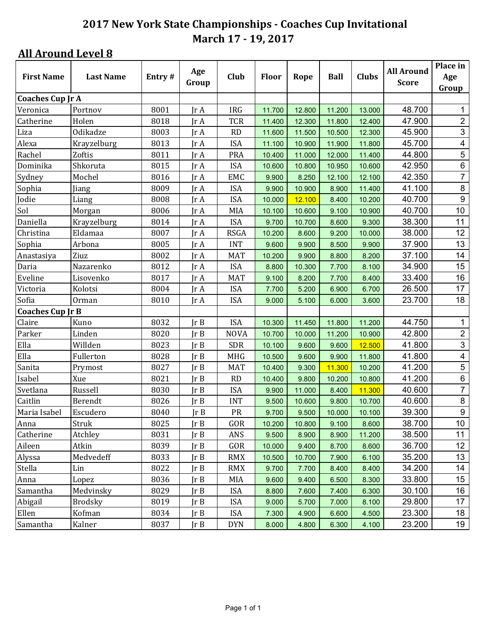| <b>First Name</b>       | <b>Last Name</b> | Entry# | Age                          | Club        | <b>Floor</b> | Rope   | <b>Ball</b> | <b>Clubs</b> | <b>All Around</b> | Place in<br>Age         |
|-------------------------|------------------|--------|------------------------------|-------------|--------------|--------|-------------|--------------|-------------------|-------------------------|
|                         |                  |        | Group                        |             |              |        |             |              | <b>Score</b>      | Group                   |
| <b>Coaches Cup Jr A</b> |                  |        |                              |             |              |        |             |              |                   |                         |
| Veronica                | Portnov          | 8001   | $\mathop{\rm Ir}\nolimits$ A | <b>IRG</b>  | 11.700       | 12.800 | 11.200      | 13.000       | 48.700            | 1                       |
| Catherine               | Holen            | 8018   | IrA                          | <b>TCR</b>  | 11.400       | 12.300 | 11.800      | 12.400       | 47.900            | $\overline{2}$          |
| Liza                    | Odikadze         | 8003   | Jr A                         | <b>RD</b>   | 11.600       | 11.500 | 10.500      | 12.300       | 45.900            | $\mathfrak{S}$          |
| Alexa                   | Krayzelburg      | 8013   | Jr A                         | <b>ISA</b>  | 11.100       | 10.900 | 11.900      | 11.800       | 45.700            | $\overline{\mathbf{4}}$ |
| Rachel                  | Zoftis           | 8011   | $\text{Tr }A$                | <b>PRA</b>  | 10.400       | 11.000 | 12.000      | 11.400       | 44.800            | 5                       |
| Dominika                | Shkoruta         | 8015   | Jr A                         | <b>ISA</b>  | 10.600       | 10.800 | 10.950      | 10.600       | 42.950            | $\,6\,$                 |
| Sydney                  | Mochel           | 8016   | $\mathop{\rm Ir}\nolimits$ A | EMC         | 9.900        | 8.250  | 12.100      | 12.100       | 42.350            | $\overline{7}$          |
| Sophia                  | Jiang            | 8009   | IrA                          | <b>ISA</b>  | 9.900        | 10.900 | 8.900       | 11.400       | 41.100            | $\bf 8$                 |
| Jodie                   | Liang            | 8008   | IrA                          | <b>ISA</b>  | 10.000       | 12.100 | 8.400       | 10.200       | 40.700            | $\boldsymbol{9}$        |
| Sol                     | Morgan           | 8006   | Jr A                         | <b>MIA</b>  | 10.100       | 10.600 | 9.100       | 10.900       | 40.700            | 10                      |
| Daniella                | Krayzelburg      | 8014   | $\text{Tr }A$                | <b>ISA</b>  | 9.700        | 10.700 | 8.600       | 9.300        | 38.300            | 11                      |
| Christina               | Eldamaa          | 8007   | $\mathop{\rm Ir}\nolimits$ A | <b>RSGA</b> | 10.200       | 8.600  | 9.200       | 10.000       | 38.000            | 12                      |
| Sophia                  | Arbona           | 8005   | $\mathop{\rm Ir}\nolimits$ A | <b>INT</b>  | 9.600        | 9.900  | 8.500       | 9.900        | 37.900            | 13                      |
| Anastasiya              | Ziuz             | 8002   | IrA                          | <b>MAT</b>  | 10.200       | 9.900  | 8.800       | 8.200        | 37.100            | 14                      |
| Daria                   | Nazarenko        | 8012   | IrA                          | <b>ISA</b>  | 8.800        | 10.300 | 7.700       | 8.100        | 34.900            | 15                      |
| Eveline                 | Lisovenko        | 8017   | Jr A                         | <b>MAT</b>  | 9.100        | 8.200  | 7.700       | 8.400        | 33.400            | 16                      |
| Victoria                | Kolotsi          | 8004   | Jr A                         | <b>ISA</b>  | 7.700        | 5.200  | 6.900       | 6.700        | 26.500            | 17                      |
| Sofia                   | Orman            | 8010   | Jr A                         | <b>ISA</b>  | 9.000        | 5.100  | 6.000       | 3.600        | 23.700            | 18                      |
| <b>Coaches Cup Jr B</b> |                  |        |                              |             |              |        |             |              |                   |                         |
| Claire                  | Kuno             | 8032   | Ir B                         | <b>ISA</b>  | 10.300       | 11.450 | 11.800      | 11.200       | 44.750            | 1                       |
| Parker                  | Linden           | 8020   | IrB                          | <b>NOVA</b> | 10.700       | 10.000 | 11.200      | 10.900       | 42.800            | $\overline{c}$          |
| Ella                    | Willden          | 8023   | Ir B                         | <b>SDR</b>  | 10.100       | 9.600  | 9.600       | 12.500       | 41.800            | $\overline{3}$          |
| Ella                    | Fullerton        | 8028   | Ir B                         | <b>MHG</b>  | 10.500       | 9.600  | 9.900       | 11.800       | 41.800            | $\overline{4}$          |
| Sanita                  | Prymost          | 8027   | Ir B                         | <b>MAT</b>  | 10.400       | 9.300  | 11.300      | 10.200       | 41.200            | $\overline{5}$          |
| Isabel                  | Xue              | 8021   | IrB                          | <b>RD</b>   | 10.400       | 9.800  | 10.200      | 10.800       | 41.200            | $\,6$                   |
| Svetlana                | Russell          | 8030   | Ir B                         | <b>ISA</b>  | 9.900        | 11.000 | 8.400       | 11.300       | 40.600            | $\overline{7}$          |
| Caitlin                 | Berendt          | 8026   | Jr B                         | <b>INT</b>  | 9.500        | 10.600 | 9.800       | 10.700       | 40.600            | 8                       |
| Maria Isabel            | Escudero         | 8040   | Ir B                         | PR          | 9.700        | 9.500  | 10.000      | 10.100       | 39.300            | $\boldsymbol{9}$        |
| Anna                    | Struk            | 8025   | JrB                          | GOR         | 10.200       | 10.800 | 9.100       | 8.600        | 38.700            | 10 <sub>1</sub>         |
| Catherine               | Atchley          | 8031   | Jr B                         | ANS         | 9.500        | 8.900  | 8.900       | 11.200       | 38.500            | 11                      |
| Aileen                  | Atkin            | 8039   | JrB                          | GOR         | 10.000       | 9.400  | 8.700       | 8.600        | 36.700            | 12                      |
| Alyssa                  | Medvedeff        | 8033   | $\text{lr } B$               | <b>RMX</b>  | 10.500       | 10.700 | 7.900       | 6.100        | 35.200            | 13                      |
| Stella                  | Lin              | 8022   | $\text{lr } B$               | <b>RMX</b>  | 9.700        | 7.700  | 8.400       | 8.400        | 34.200            | 14                      |
| Anna                    | Lopez            | 8036   | $\text{lr } B$               | <b>MIA</b>  | 9.600        | 9.400  | 6.500       | 8.300        | 33.800            | 15                      |
| Samantha                | Medvinsky        | 8029   | Ir B                         | <b>ISA</b>  | 8.800        | 7.600  | 7.400       | 6.300        | 30.100            | 16                      |
| Abigail                 | Brodsky          | 8019   | JrB                          | <b>ISA</b>  | 9.000        | 5.700  | 7.000       | 8.100        | 29.800            | 17                      |
| Ellen                   | Kofman           | 8034   | JrB                          | <b>ISA</b>  | 7.300        | 4.900  | 6.600       | 4.500        | 23.300            | 18                      |
| Samantha                | Kalner           | 8037   | JrB                          | <b>DYN</b>  | 8.000        | 4.800  | 6.300       | 4.100        | 23.200            | 19                      |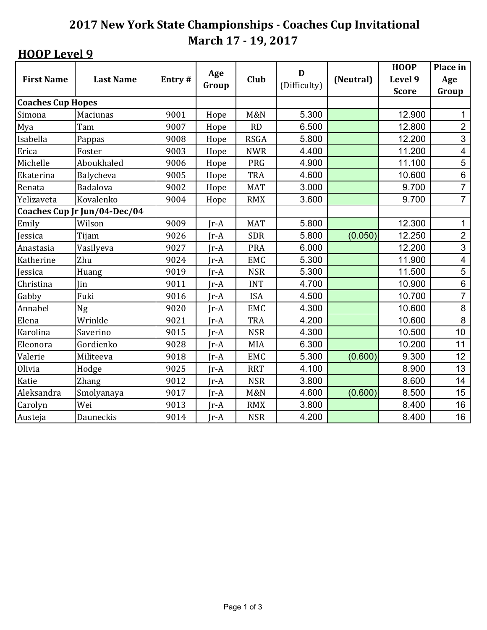|                          |                              |        | Age    | D              |              |           | <b>HOOP</b>  | Place in                |
|--------------------------|------------------------------|--------|--------|----------------|--------------|-----------|--------------|-------------------------|
| <b>First Name</b>        | <b>Last Name</b>             | Entry# | Group  | Club           | (Difficulty) | (Neutral) | Level 9      | Age                     |
|                          |                              |        |        |                |              |           | <b>Score</b> | Group                   |
| <b>Coaches Cup Hopes</b> |                              |        |        |                |              |           |              |                         |
| Simona                   | Maciunas                     | 9001   | Hope   | <b>M&amp;N</b> | 5.300        |           | 12.900       | $\mathbf 1$             |
| Mya                      | Tam                          | 9007   | Hope   | <b>RD</b>      | 6.500        |           | 12.800       | $\overline{2}$          |
| Isabella                 | Pappas                       | 9008   | Hope   | <b>RSGA</b>    | 5.800        |           | 12.200       | $\overline{3}$          |
| Erica                    | Foster                       | 9003   | Hope   | <b>NWR</b>     | 4.400        |           | 11.200       | $\overline{\mathbf{4}}$ |
| Michelle                 | Aboukhaled                   | 9006   | Hope   | PRG            | 4.900        |           | 11.100       | $\overline{5}$          |
| Ekaterina                | Balycheva                    | 9005   | Hope   | <b>TRA</b>     | 4.600        |           | 10.600       | $\,6$                   |
| Renata                   | Badalova                     | 9002   | Hope   | <b>MAT</b>     | 3.000        |           | 9.700        | $\overline{7}$          |
| Yelizaveta               | Kovalenko                    | 9004   | Hope   | <b>RMX</b>     | 3.600        |           | 9.700        | $\overline{7}$          |
|                          | Coaches Cup Jr Jun/04-Dec/04 |        |        |                |              |           |              |                         |
| Emily                    | Wilson                       | 9009   | $Ir-A$ | <b>MAT</b>     | 5.800        |           | 12.300       | 1                       |
| Jessica                  | Tijam                        | 9026   | $Ir-A$ | <b>SDR</b>     | 5.800        | (0.050)   | 12.250       | $\overline{2}$          |
| Anastasia                | Vasilyeva                    | 9027   | $Ir-A$ | PRA            | 6.000        |           | 12.200       | $\overline{3}$          |
| Katherine                | Zhu                          | 9024   | $Ir-A$ | <b>EMC</b>     | 5.300        |           | 11.900       | $\overline{\mathbf{4}}$ |
| Jessica                  | Huang                        | 9019   | $Ir-A$ | <b>NSR</b>     | 5.300        |           | 11.500       | $\overline{5}$          |
| Christina                | Jin                          | 9011   | $Ir-A$ | <b>INT</b>     | 4.700        |           | 10.900       | $\overline{6}$          |
| Gabby                    | Fuki                         | 9016   | $Ir-A$ | <b>ISA</b>     | 4.500        |           | 10.700       | $\overline{7}$          |
| Annabel                  | Ng                           | 9020   | $Ir-A$ | <b>EMC</b>     | 4.300        |           | 10.600       | 8                       |
| Elena                    | Wrinkle                      | 9021   | $Ir-A$ | <b>TRA</b>     | 4.200        |           | 10.600       | 8                       |
| Karolina                 | Saverino                     | 9015   | $Ir-A$ | <b>NSR</b>     | 4.300        |           | 10.500       | 10                      |
| Eleonora                 | Gordienko                    | 9028   | $Ir-A$ | <b>MIA</b>     | 6.300        |           | 10.200       | 11                      |
| Valerie                  | Militeeva                    | 9018   | $Ir-A$ | <b>EMC</b>     | 5.300        | (0.600)   | 9.300        | 12                      |
| Olivia                   | Hodge                        | 9025   | $Ir-A$ | <b>RRT</b>     | 4.100        |           | 8.900        | 13                      |
| Katie                    | <b>Zhang</b>                 | 9012   | $Ir-A$ | <b>NSR</b>     | 3.800        |           | 8.600        | 14                      |
| Aleksandra               | Smolyanaya                   | 9017   | $Jr-A$ | <b>M&amp;N</b> | 4.600        | (0.600)   | 8.500        | 15                      |
| Carolyn                  | Wei                          | 9013   | $Jr-A$ | <b>RMX</b>     | 3.800        |           | 8.400        | 16                      |
| Austeja                  | Dauneckis                    | 9014   | $Ir-A$ | <b>NSR</b>     | 4.200        |           | 8.400        | 16                      |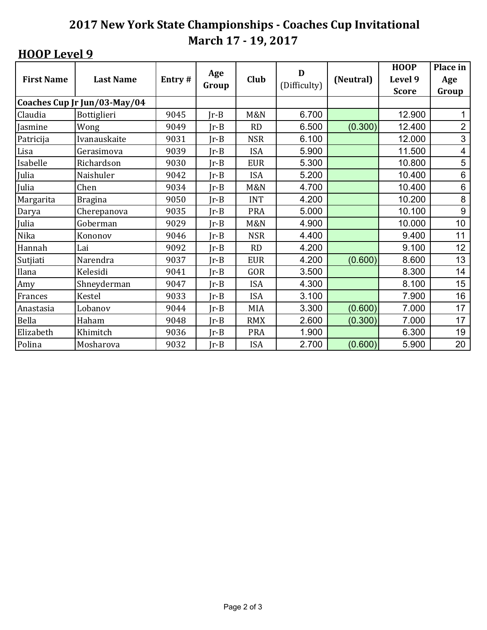| <b>First Name</b> | <b>Last Name</b>             | Entry# | Age<br>Group | Club       | D<br>(Difficulty) | (Neutral) | <b>HOOP</b><br>Level 9<br><b>Score</b> | Place in<br>Age<br>Group |
|-------------------|------------------------------|--------|--------------|------------|-------------------|-----------|----------------------------------------|--------------------------|
|                   | Coaches Cup Jr Jun/03-May/04 |        |              |            |                   |           |                                        |                          |
| Claudia           | Bottiglieri                  | 9045   | $Ir-B$       | M&N        | 6.700             |           | 12.900                                 | 1                        |
| Jasmine           | Wong                         | 9049   | $Ir-B$       | RD         | 6.500             | (0.300)   | 12.400                                 | $\overline{2}$           |
| Patricija         | Ivanauskaite                 | 9031   | $Ir-B$       | <b>NSR</b> | 6.100             |           | 12.000                                 | 3                        |
| Lisa              | Gerasimova                   | 9039   | $Ir-B$       | <b>ISA</b> | 5.900             |           | 11.500                                 | 4                        |
| Isabelle          | Richardson                   | 9030   | $Ir-B$       | <b>EUR</b> | 5.300             |           | 10.800                                 | 5                        |
| Julia             | Naishuler                    | 9042   | $Ir-B$       | <b>ISA</b> | 5.200             |           | 10.400                                 | 6                        |
| Julia             | Chen                         | 9034   | $Ir-B$       | M&N        | 4.700             |           | 10.400                                 | $\,6$                    |
| Margarita         | <b>Bragina</b>               | 9050   | $Ir-B$       | <b>INT</b> | 4.200             |           | 10.200                                 | 8                        |
| Darya             | Cherepanova                  | 9035   | $Ir-B$       | <b>PRA</b> | 5.000             |           | 10.100                                 | 9                        |
| Julia             | Goberman                     | 9029   | $Ir-B$       | M&N        | 4.900             |           | 10.000                                 | 10                       |
| Nika              | Kononov                      | 9046   | $Ir-B$       | <b>NSR</b> | 4.400             |           | 9.400                                  | 11                       |
| Hannah            | Lai                          | 9092   | $Ir-B$       | RD         | 4.200             |           | 9.100                                  | 12                       |
| Sutjiati          | Narendra                     | 9037   | $Ir-B$       | <b>EUR</b> | 4.200             | (0.600)   | 8.600                                  | 13                       |
| Ilana             | Kelesidi                     | 9041   | $Ir-B$       | GOR        | 3.500             |           | 8.300                                  | 14                       |
| Amy               | Shneyderman                  | 9047   | $Ir-B$       | <b>ISA</b> | 4.300             |           | 8.100                                  | 15                       |
| Frances           | Kestel                       | 9033   | $Ir-B$       | <b>ISA</b> | 3.100             |           | 7.900                                  | 16                       |
| Anastasia         | Lobanov                      | 9044   | $Ir-B$       | <b>MIA</b> | 3.300             | (0.600)   | 7.000                                  | 17                       |
| Bella             | Haham                        | 9048   | $Ir-B$       | <b>RMX</b> | 2.600             | (0.300)   | 7.000                                  | 17                       |
| Elizabeth         | Khimitch                     | 9036   | $Ir-B$       | <b>PRA</b> | 1.900             |           | 6.300                                  | 19                       |
| Polina            | Mosharova                    | 9032   | $Ir-B$       | <b>ISA</b> | 2.700             | (0.600)   | 5.900                                  | 20                       |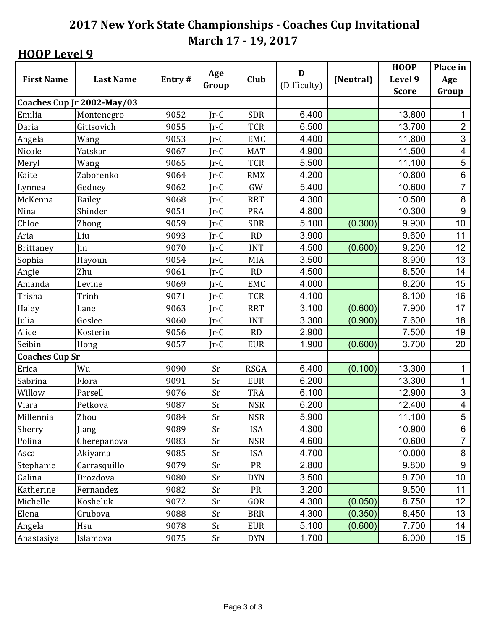|                       |                            |        | Age    |             | D            |           | <b>HOOP</b>  | Place in                |
|-----------------------|----------------------------|--------|--------|-------------|--------------|-----------|--------------|-------------------------|
| <b>First Name</b>     | <b>Last Name</b>           | Entry# | Group  | Club        | (Difficulty) | (Neutral) | Level 9      | Age                     |
|                       |                            |        |        |             |              |           | <b>Score</b> | Group                   |
|                       | Coaches Cup Jr 2002-May/03 |        |        |             |              |           |              |                         |
| Emilia                | Montenegro                 | 9052   | $Jr-C$ | <b>SDR</b>  | 6.400        |           | 13.800       | 1                       |
| Daria                 | Gittsovich                 | 9055   | $Jr-C$ | <b>TCR</b>  | 6.500        |           | 13.700       | $\mathbf 2$             |
| Angela                | Wang                       | 9053   | $Jr-C$ | <b>EMC</b>  | 4.400        |           | 11.800       | 3                       |
| Nicole                | Yatskar                    | 9067   | $Ir-C$ | <b>MAT</b>  | 4.900        |           | 11.500       | $\overline{\mathbf{4}}$ |
| Meryl                 | Wang                       | 9065   | $Ir-C$ | <b>TCR</b>  | 5.500        |           | 11.100       | 5                       |
| Kaite                 | Zaborenko                  | 9064   | $Ir-C$ | <b>RMX</b>  | 4.200        |           | 10.800       | $\,6$                   |
| Lynnea                | Gedney                     | 9062   | $Ir-C$ | GW          | 5.400        |           | 10.600       | $\overline{7}$          |
| McKenna               | <b>Bailey</b>              | 9068   | $Ir-C$ | <b>RRT</b>  | 4.300        |           | 10.500       | $\,8\,$                 |
| Nina                  | Shinder                    | 9051   | $Ir-C$ | PRA         | 4.800        |           | 10.300       | 9                       |
| Chloe                 | Zhong                      | 9059   | $Ir-C$ | <b>SDR</b>  | 5.100        | (0.300)   | 9.900        | 10                      |
| Aria                  | Liu                        | 9093   | $Ir-C$ | RD          | 3.900        |           | 9.600        | 11                      |
| <b>Brittaney</b>      | Jin                        | 9070   | $Ir-C$ | <b>INT</b>  | 4.500        | (0.600)   | 9.200        | 12                      |
| Sophia                | Hayoun                     | 9054   | $Ir-C$ | <b>MIA</b>  | 3.500        |           | 8.900        | 13                      |
| Angie                 | Zhu                        | 9061   | $Ir-C$ | <b>RD</b>   | 4.500        |           | 8.500        | 14                      |
| Amanda                | Levine                     | 9069   | $Ir-C$ | <b>EMC</b>  | 4.000        |           | 8.200        | 15                      |
| Trisha                | Trinh                      | 9071   | $Jr-C$ | <b>TCR</b>  | 4.100        |           | 8.100        | 16                      |
| Haley                 | Lane                       | 9063   | $Jr-C$ | <b>RRT</b>  | 3.100        | (0.600)   | 7.900        | 17                      |
| Julia                 | Goslee                     | 9060   | $Ir-C$ | <b>INT</b>  | 3.300        | (0.900)   | 7.600        | 18                      |
| Alice                 | Kosterin                   | 9056   | $Ir-C$ | RD          | 2.900        |           | 7.500        | 19                      |
| Seibin                | Hong                       | 9057   | $Jr-C$ | <b>EUR</b>  | 1.900        | (0.600)   | 3.700        | 20                      |
| <b>Coaches Cup Sr</b> |                            |        |        |             |              |           |              |                         |
| Erica                 | Wu                         | 9090   | Sr     | <b>RSGA</b> | 6.400        | (0.100)   | 13.300       | $\mathbf 1$             |
| Sabrina               | Flora                      | 9091   | Sr     | <b>EUR</b>  | 6.200        |           | 13.300       | $\mathbf{1}$            |
| Willow                | Parsell                    | 9076   | Sr     | <b>TRA</b>  | 6.100        |           | 12.900       | 3                       |
| Viara                 | Petkova                    | 9087   | Sr     | <b>NSR</b>  | 6.200        |           | 12.400       | $\overline{\mathbf{4}}$ |
| Millennia             | Zhou                       | 9084   | Sr     | <b>NSR</b>  | 5.900        |           | 11.100       | $\overline{5}$          |
| Sherry                | <b>Jiang</b>               | 9089   | Sr     | <b>ISA</b>  | 4.300        |           | 10.900       | 6                       |
| Polina                | Cherepanova                | 9083   | Sr     | <b>NSR</b>  | 4.600        |           | 10.600       | $\overline{7}$          |
| Asca                  | Akiyama                    | 9085   | Sr     | <b>ISA</b>  | 4.700        |           | 10.000       | 8                       |
| Stephanie             | Carrasquillo               | 9079   | Sr     | <b>PR</b>   | 2.800        |           | 9.800        | $\boldsymbol{9}$        |
| Galina                | Drozdova                   | 9080   | Sr     | <b>DYN</b>  | 3.500        |           | 9.700        | 10 <sup>°</sup>         |
| Katherine             | Fernandez                  | 9082   | Sr     | PR          | 3.200        |           | 9.500        | 11                      |
| Michelle              | Kosheluk                   | 9072   | Sr     | GOR         | 4.300        | (0.050)   | 8.750        | 12 <sub>2</sub>         |
| Elena                 | Grubova                    | 9088   | Sr     | <b>BRR</b>  | 4.300        | (0.350)   | 8.450        | 13                      |
| Angela                | Hsu                        | 9078   | Sr     | <b>EUR</b>  | 5.100        | (0.600)   | 7.700        | 14                      |
| Anastasiya            | Islamova                   | 9075   | Sr     | <b>DYN</b>  | 1.700        |           | 6.000        | 15 <sub>15</sub>        |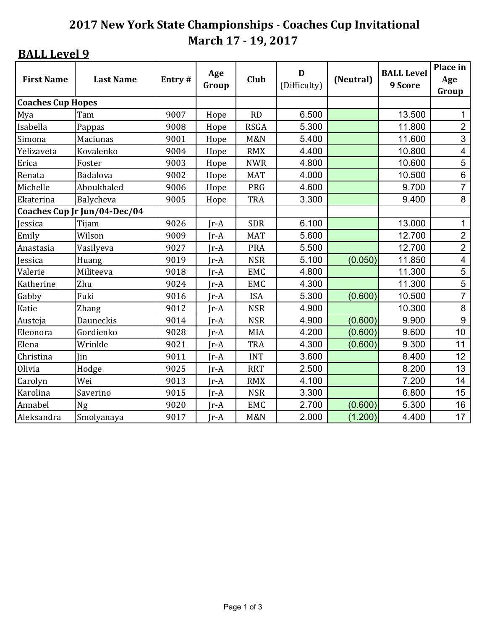|                          |                              | Age    | D      |                |              | <b>BALL Level</b> | Place in |                         |
|--------------------------|------------------------------|--------|--------|----------------|--------------|-------------------|----------|-------------------------|
| <b>First Name</b>        | <b>Last Name</b>             | Entry# | Group  | Club           | (Difficulty) | (Neutral)         | 9 Score  | Age                     |
|                          |                              |        |        |                |              |                   |          | Group                   |
| <b>Coaches Cup Hopes</b> |                              |        |        |                |              |                   |          |                         |
| Mya                      | Tam                          | 9007   | Hope   | <b>RD</b>      | 6.500        |                   | 13.500   | $\mathbf{1}$            |
| Isabella                 | Pappas                       | 9008   | Hope   | <b>RSGA</b>    | 5.300        |                   | 11.800   | $\overline{2}$          |
| Simona                   | Maciunas                     | 9001   | Hope   | <b>M&amp;N</b> | 5.400        |                   | 11.600   | 3                       |
| Yelizaveta               | Kovalenko                    | 9004   | Hope   | <b>RMX</b>     | 4.400        |                   | 10.800   | $\overline{\mathbf{4}}$ |
| Erica                    | Foster                       | 9003   | Hope   | <b>NWR</b>     | 4.800        |                   | 10.600   | 5                       |
| Renata                   | Badalova                     | 9002   | Hope   | <b>MAT</b>     | 4.000        |                   | 10.500   | $\,6\,$                 |
| Michelle                 | Aboukhaled                   | 9006   | Hope   | PRG            | 4.600        |                   | 9.700    | $\overline{7}$          |
| Ekaterina                | Balycheva                    | 9005   | Hope   | <b>TRA</b>     | 3.300        |                   | 9.400    | 8                       |
|                          | Coaches Cup Jr Jun/04-Dec/04 |        |        |                |              |                   |          |                         |
| Jessica                  | Tijam                        | 9026   | $Ir-A$ | <b>SDR</b>     | 6.100        |                   | 13.000   | 1                       |
| Emily                    | Wilson                       | 9009   | Jr-A   | <b>MAT</b>     | 5.600        |                   | 12.700   | $\overline{2}$          |
| Anastasia                | Vasilyeva                    | 9027   | $Ir-A$ | <b>PRA</b>     | 5.500        |                   | 12.700   | $\overline{2}$          |
| Jessica                  | Huang                        | 9019   | $Ir-A$ | <b>NSR</b>     | 5.100        | (0.050)           | 11.850   | 4                       |
| Valerie                  | Militeeva                    | 9018   | $Ir-A$ | <b>EMC</b>     | 4.800        |                   | 11.300   | $\overline{5}$          |
| Katherine                | Zhu                          | 9024   | Jr-A   | <b>EMC</b>     | 4.300        |                   | 11.300   | 5                       |
| Gabby                    | Fuki                         | 9016   | $Ir-A$ | <b>ISA</b>     | 5.300        | (0.600)           | 10.500   | $\overline{7}$          |
| Katie                    | <b>Zhang</b>                 | 9012   | $Ir-A$ | <b>NSR</b>     | 4.900        |                   | 10.300   | 8                       |
| Austeja                  | Dauneckis                    | 9014   | $Ir-A$ | <b>NSR</b>     | 4.900        | (0.600)           | 9.900    | $\boldsymbol{9}$        |
| Eleonora                 | Gordienko                    | 9028   | $Ir-A$ | <b>MIA</b>     | 4.200        | (0.600)           | 9.600    | 10                      |
| Elena                    | Wrinkle                      | 9021   | $Ir-A$ | <b>TRA</b>     | 4.300        | (0.600)           | 9.300    | 11                      |
| Christina                | <b>Jin</b>                   | 9011   | $Ir-A$ | <b>INT</b>     | 3.600        |                   | 8.400    | 12 <sub>2</sub>         |
| Olivia                   | Hodge                        | 9025   | $Ir-A$ | <b>RRT</b>     | 2.500        |                   | 8.200    | 13                      |
| Carolyn                  | Wei                          | 9013   | $Ir-A$ | <b>RMX</b>     | 4.100        |                   | 7.200    | 14                      |
| Karolina                 | Saverino                     | 9015   | $Ir-A$ | <b>NSR</b>     | 3.300        |                   | 6.800    | 15                      |
| Annabel                  | Ng                           | 9020   | $Ir-A$ | <b>EMC</b>     | 2.700        | (0.600)           | 5.300    | 16                      |
| Aleksandra               | Smolyanaya                   | 9017   | $Ir-A$ | <b>M&amp;N</b> | 2.000        | (1.200)           | 4.400    | 17                      |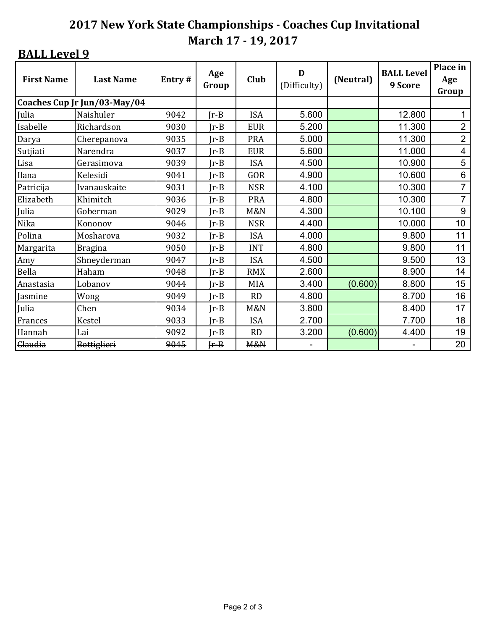| <b>First Name</b> | <b>Last Name</b>             | Entry# | Age<br>Group | <b>Club</b>    | D<br>(Difficulty) | (Neutral) | <b>BALL Level</b><br>9 Score | Place in<br>Age<br>Group |
|-------------------|------------------------------|--------|--------------|----------------|-------------------|-----------|------------------------------|--------------------------|
|                   | Coaches Cup Jr Jun/03-May/04 |        |              |                |                   |           |                              |                          |
| Julia             | Naishuler                    | 9042   | $Jr-B$       | <b>ISA</b>     | 5.600             |           | 12.800                       |                          |
| Isabelle          | Richardson                   | 9030   | $Ir-B$       | <b>EUR</b>     | 5.200             |           | 11.300                       | $\overline{2}$           |
| Darya             | Cherepanova                  | 9035   | $Ir-B$       | <b>PRA</b>     | 5.000             |           | 11.300                       | $\overline{2}$           |
| Sutjiati          | Narendra                     | 9037   | $Ir-B$       | <b>EUR</b>     | 5.600             |           | 11.000                       | $\overline{\mathbf{4}}$  |
| Lisa              | Gerasimova                   | 9039   | $Ir-B$       | <b>ISA</b>     | 4.500             |           | 10.900                       | 5                        |
| Ilana             | Kelesidi                     | 9041   | $Ir-B$       | GOR            | 4.900             |           | 10.600                       | 6                        |
| Patricija         | Ivanauskaite                 | 9031   | $Ir-B$       | <b>NSR</b>     | 4.100             |           | 10.300                       | $\overline{7}$           |
| Elizabeth         | Khimitch                     | 9036   | $Ir-B$       | <b>PRA</b>     | 4.800             |           | 10.300                       | $\overline{7}$           |
| Julia             | Goberman                     | 9029   | $Ir-B$       | M&N            | 4.300             |           | 10.100                       | 9                        |
| Nika              | Kononov                      | 9046   | $Ir-B$       | <b>NSR</b>     | 4.400             |           | 10.000                       | 10                       |
| Polina            | Mosharova                    | 9032   | $Ir-B$       | <b>ISA</b>     | 4.000             |           | 9.800                        | 11                       |
| Margarita         | <b>Bragina</b>               | 9050   | $Ir-B$       | <b>INT</b>     | 4.800             |           | 9.800                        | 11                       |
| Amy               | Shneyderman                  | 9047   | $Ir-B$       | <b>ISA</b>     | 4.500             |           | 9.500                        | 13                       |
| Bella             | Haham                        | 9048   | $Ir-B$       | <b>RMX</b>     | 2.600             |           | 8.900                        | 14                       |
| Anastasia         | Lobanov                      | 9044   | $Ir-B$       | MIA            | 3.400             | (0.600)   | 8.800                        | 15                       |
| Jasmine           | Wong                         | 9049   | $Ir-B$       | RD             | 4.800             |           | 8.700                        | 16                       |
| Julia             | Chen                         | 9034   | $Ir-B$       | <b>M&amp;N</b> | 3.800             |           | 8.400                        | 17                       |
| Frances           | <b>Kestel</b>                | 9033   | $Ir-B$       | <b>ISA</b>     | 2.700             |           | 7.700                        | 18                       |
| Hannah            | Lai                          | 9092   | $Ir-B$       | RD             | 3.200             | (0.600)   | 4.400                        | 19                       |
| Claudia           | Bottiglieri                  | 9045   | $F - B$      | M&N            |                   |           |                              | 20                       |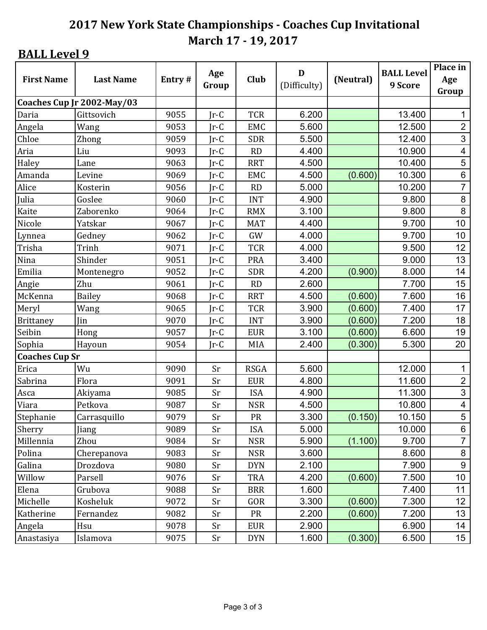|                       |                            |        | Age    |             | D            |           | <b>BALL Level</b> | Place in                |
|-----------------------|----------------------------|--------|--------|-------------|--------------|-----------|-------------------|-------------------------|
| <b>First Name</b>     | <b>Last Name</b>           | Entry# | Group  | Club        | (Difficulty) | (Neutral) | 9 Score           | Age                     |
|                       |                            |        |        |             |              |           |                   | Group                   |
|                       | Coaches Cup Jr 2002-May/03 |        |        |             |              |           |                   |                         |
| Daria                 | Gittsovich                 | 9055   | $Jr-C$ | <b>TCR</b>  | 6.200        |           | 13.400            | $\mathbf{1}$            |
| Angela                | Wang                       | 9053   | $Ir-C$ | EMC         | 5.600        |           | 12.500            | $\overline{2}$          |
| Chloe                 | Zhong                      | 9059   | $Ir-C$ | <b>SDR</b>  | 5.500        |           | 12.400            | $\mathbf{3}$            |
| Aria                  | Liu                        | 9093   | $Ir-C$ | RD          | 4.400        |           | 10.900            | $\overline{\mathbf{4}}$ |
| Haley                 | Lane                       | 9063   | $Ir-C$ | <b>RRT</b>  | 4.500        |           | 10.400            | 5                       |
| Amanda                | Levine                     | 9069   | $Ir-C$ | <b>EMC</b>  | 4.500        | (0.600)   | 10.300            | $\,6\,$                 |
| Alice                 | Kosterin                   | 9056   | $Ir-C$ | <b>RD</b>   | 5.000        |           | 10.200            | $\overline{7}$          |
| Julia                 | Goslee                     | 9060   | $Ir-C$ | <b>INT</b>  | 4.900        |           | 9.800             | 8                       |
| Kaite                 | Zaborenko                  | 9064   | $Ir-C$ | <b>RMX</b>  | 3.100        |           | 9.800             | 8                       |
| Nicole                | Yatskar                    | 9067   | $Ir-C$ | <b>MAT</b>  | 4.400        |           | 9.700             | 10                      |
| Lynnea                | Gedney                     | 9062   | $Ir-C$ | GW          | 4.000        |           | 9.700             | 10                      |
| Trisha                | Trinh                      | 9071   | $Ir-C$ | <b>TCR</b>  | 4.000        |           | 9.500             | 12 <sub>2</sub>         |
| Nina                  | Shinder                    | 9051   | $Ir-C$ | <b>PRA</b>  | 3.400        |           | 9.000             | 13                      |
| Emilia                | Montenegro                 | 9052   | $Jr-C$ | <b>SDR</b>  | 4.200        | (0.900)   | 8.000             | 14                      |
| Angie                 | Zhu                        | 9061   | $Ir-C$ | RD          | 2.600        |           | 7.700             | 15                      |
| McKenna               | <b>Bailey</b>              | 9068   | $Ir-C$ | <b>RRT</b>  | 4.500        | (0.600)   | 7.600             | 16                      |
| Meryl                 | Wang                       | 9065   | $Jr-C$ | <b>TCR</b>  | 3.900        | (0.600)   | 7.400             | 17                      |
| <b>Brittaney</b>      | Jin                        | 9070   | $Ir-C$ | <b>INT</b>  | 3.900        | (0.600)   | 7.200             | 18                      |
| Seibin                | Hong                       | 9057   | $Ir-C$ | <b>EUR</b>  | 3.100        | (0.600)   | 6.600             | 19                      |
| Sophia                | Hayoun                     | 9054   | $Ir-C$ | MIA         | 2.400        | (0.300)   | 5.300             | 20                      |
| <b>Coaches Cup Sr</b> |                            |        |        |             |              |           |                   |                         |
| Erica                 | Wu                         | 9090   | Sr     | <b>RSGA</b> | 5.600        |           | 12.000            | $\mathbf{1}$            |
| Sabrina               | Flora                      | 9091   | Sr     | <b>EUR</b>  | 4.800        |           | 11.600            | $\overline{2}$          |
| Asca                  | Akiyama                    | 9085   | Sr     | <b>ISA</b>  | 4.900        |           | 11.300            | $\mathfrak{S}$          |
| Viara                 | Petkova                    | 9087   | Sr     | <b>NSR</b>  | 4.500        |           | 10.800            | $\overline{4}$          |
| Stephanie             | Carrasquillo               | 9079   | Sr     | PR          | 3.300        | (0.150)   | 10.150            | $\overline{5}$          |
| Sherry                | Jiang                      | 9089   | Sr     | <b>ISA</b>  | 5.000        |           | 10.000            | 6                       |
| Millennia             | Zhou                       | 9084   | Sr     | <b>NSR</b>  | 5.900        | (1.100)   | 9.700             | $\overline{7}$          |
| Polina                | Cherepanova                | 9083   | Sr     | <b>NSR</b>  | 3.600        |           | 8.600             | 8                       |
| Galina                | Drozdova                   | 9080   | Sr     | <b>DYN</b>  | 2.100        |           | 7.900             | 9                       |
| Willow                | Parsell                    | 9076   | Sr     | <b>TRA</b>  | 4.200        | (0.600)   | 7.500             | 10 <sup>°</sup>         |
| Elena                 | Grubova                    | 9088   | Sr     | <b>BRR</b>  | 1.600        |           | 7.400             | 11                      |
| Michelle              | Kosheluk                   | 9072   | Sr     | GOR         | 3.300        | (0.600)   | 7.300             | 12 <sub>2</sub>         |
| Katherine             | Fernandez                  | 9082   | Sr     | <b>PR</b>   | 2.200        | (0.600)   | 7.200             | 13 <sup>°</sup>         |
| Angela                | Hsu                        | 9078   | Sr     | <b>EUR</b>  | 2.900        |           | 6.900             | 14                      |
| Anastasiya            | Islamova                   | 9075   | Sr     | <b>DYN</b>  | 1.600        | (0.300)   | 6.500             | 15 <sub>15</sub>        |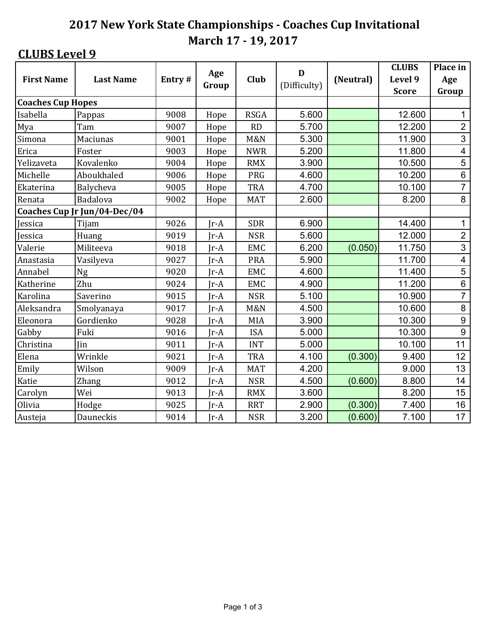|                          |                              |        | Age    | D              |              | <b>CLUBS</b> | Place in     |                         |
|--------------------------|------------------------------|--------|--------|----------------|--------------|--------------|--------------|-------------------------|
| <b>First Name</b>        | <b>Last Name</b>             | Entry# | Group  | Club           | (Difficulty) | (Neutral)    | Level 9      | Age                     |
|                          |                              |        |        |                |              |              | <b>Score</b> | Group                   |
| <b>Coaches Cup Hopes</b> |                              |        |        |                |              |              |              |                         |
| Isabella                 | Pappas                       | 9008   | Hope   | <b>RSGA</b>    | 5.600        |              | 12.600       | $\mathbf 1$             |
| Mya                      | Tam                          | 9007   | Hope   | RD             | 5.700        |              | 12.200       | $\overline{2}$          |
| Simona                   | Maciunas                     | 9001   | Hope   | <b>M&amp;N</b> | 5.300        |              | 11.900       | 3                       |
| Erica                    | Foster                       | 9003   | Hope   | <b>NWR</b>     | 5.200        |              | 11.800       | $\overline{\mathbf{4}}$ |
| Yelizaveta               | Kovalenko                    | 9004   | Hope   | <b>RMX</b>     | 3.900        |              | 10.500       | 5                       |
| Michelle                 | Aboukhaled                   | 9006   | Hope   | PRG            | 4.600        |              | 10.200       | $\,6\,$                 |
| Ekaterina                | Balycheva                    | 9005   | Hope   | <b>TRA</b>     | 4.700        |              | 10.100       | $\overline{7}$          |
| Renata                   | Badalova                     | 9002   | Hope   | <b>MAT</b>     | 2.600        |              | 8.200        | 8                       |
|                          | Coaches Cup Jr Jun/04-Dec/04 |        |        |                |              |              |              |                         |
| Jessica                  | Tijam                        | 9026   | $Ir-A$ | <b>SDR</b>     | 6.900        |              | 14.400       | 1                       |
| Jessica                  | Huang                        | 9019   | $Ir-A$ | <b>NSR</b>     | 5.600        |              | 12.000       | $\overline{2}$          |
| Valerie                  | Militeeva                    | 9018   | $Ir-A$ | <b>EMC</b>     | 6.200        | (0.050)      | 11.750       | $\overline{3}$          |
| Anastasia                | Vasilyeva                    | 9027   | $Ir-A$ | <b>PRA</b>     | 5.900        |              | 11.700       | $\overline{\mathbf{4}}$ |
| Annabel                  | <b>Ng</b>                    | 9020   | Jr-A   | <b>EMC</b>     | 4.600        |              | 11.400       | 5                       |
| Katherine                | Zhu                          | 9024   | $Ir-A$ | <b>EMC</b>     | 4.900        |              | 11.200       | $\,6\,$                 |
| Karolina                 | Saverino                     | 9015   | Jr-A   | <b>NSR</b>     | 5.100        |              | 10.900       | $\overline{7}$          |
| Aleksandra               | Smolyanaya                   | 9017   | $Ir-A$ | <b>M&amp;N</b> | 4.500        |              | 10.600       | 8                       |
| Eleonora                 | Gordienko                    | 9028   | Jr-A   | MIA            | 3.900        |              | 10.300       | $\boldsymbol{9}$        |
| Gabby                    | Fuki                         | 9016   | $Ir-A$ | <b>ISA</b>     | 5.000        |              | 10.300       | 9                       |
| Christina                | Jin                          | 9011   | $Jr-A$ | <b>INT</b>     | 5.000        |              | 10.100       | 11                      |
| Elena                    | Wrinkle                      | 9021   | $Ir-A$ | <b>TRA</b>     | 4.100        | (0.300)      | 9.400        | 12                      |
| Emily                    | Wilson                       | 9009   | $Jr-A$ | <b>MAT</b>     | 4.200        |              | 9.000        | 13                      |
| Katie                    | <b>Zhang</b>                 | 9012   | $Ir-A$ | <b>NSR</b>     | 4.500        | (0.600)      | 8.800        | 14                      |
| Carolyn                  | Wei                          | 9013   | $Jr-A$ | <b>RMX</b>     | 3.600        |              | 8.200        | 15                      |
| Olivia                   | Hodge                        | 9025   | $Jr-A$ | <b>RRT</b>     | 2.900        | (0.300)      | 7.400        | 16                      |
| Austeja                  | Dauneckis                    | 9014   | $Ir-A$ | <b>NSR</b>     | 3.200        | (0.600)      | 7.100        | 17                      |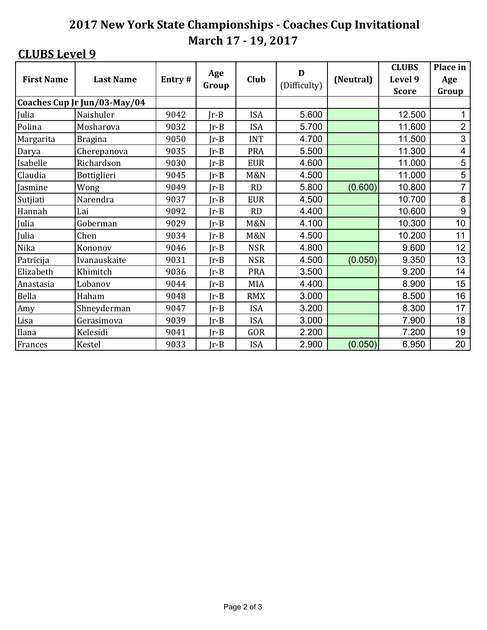|                   |                              |        | Age    |                | D            |           | <b>CLUBS</b> | Place in       |
|-------------------|------------------------------|--------|--------|----------------|--------------|-----------|--------------|----------------|
| <b>First Name</b> | <b>Last Name</b>             | Entry# | Group  | Club           | (Difficulty) | (Neutral) | Level 9      | Age            |
|                   |                              |        |        |                |              |           | <b>Score</b> | Group          |
|                   | Coaches Cup Jr Jun/03-May/04 |        |        |                |              |           |              |                |
| Julia             | Naishuler                    | 9042   | $Ir-B$ | <b>ISA</b>     | 5.600        |           | 12.500       | 1              |
| Polina            | Mosharova                    | 9032   | $Ir-B$ | <b>ISA</b>     | 5.700        |           | 11.600       | $\overline{2}$ |
| Margarita         | <b>Bragina</b>               | 9050   | $Ir-B$ | <b>INT</b>     | 4.700        |           | 11.500       | 3              |
| Darya             | Cherepanova                  | 9035   | $Ir-B$ | <b>PRA</b>     | 5.500        |           | 11.300       | 4              |
| Isabelle          | Richardson                   | 9030   | $Ir-B$ | <b>EUR</b>     | 4.600        |           | 11.000       | 5              |
| Claudia           | Bottiglieri                  | 9045   | $Ir-B$ | M&N            | 4.500        |           | 11.000       | 5              |
| Jasmine           | Wong                         | 9049   | $Ir-B$ | RD             | 5.800        | (0.600)   | 10.800       | $\overline{7}$ |
| Sutjiati          | Narendra                     | 9037   | $Ir-B$ | <b>EUR</b>     | 4.500        |           | 10.700       | 8              |
| Hannah            | Lai                          | 9092   | $Ir-B$ | <b>RD</b>      | 4.400        |           | 10.600       | 9              |
| Julia             | Goberman                     | 9029   | $Ir-B$ | <b>M&amp;N</b> | 4.100        |           | 10.300       | 10             |
| Julia             | Chen                         | 9034   | $Ir-B$ | M&N            | 4.500        |           | 10.200       | 11             |
| Nika              | Kononov                      | 9046   | $Ir-B$ | <b>NSR</b>     | 4.800        |           | 9.600        | 12             |
| Patricija         | Ivanauskaite                 | 9031   | $Ir-B$ | <b>NSR</b>     | 4.500        | (0.050)   | 9.350        | 13             |
| Elizabeth         | Khimitch                     | 9036   | $Ir-B$ | <b>PRA</b>     | 3.500        |           | 9.200        | 14             |
| Anastasia         | Lobanov                      | 9044   | $Ir-B$ | <b>MIA</b>     | 4.400        |           | 8.900        | 15             |
| Bella             | Haham                        | 9048   | $Ir-B$ | <b>RMX</b>     | 3.000        |           | 8.500        | 16             |
| Amy               | Shneyderman                  | 9047   | $Ir-B$ | <b>ISA</b>     | 3.200        |           | 8.300        | 17             |
| Lisa              | Gerasimova                   | 9039   | $Ir-B$ | <b>ISA</b>     | 3.000        |           | 7.900        | 18             |
| Ilana             | Kelesidi                     | 9041   | $Ir-B$ | GOR            | 2.200        |           | 7.200        | 19             |
| Frances           | Kestel                       | 9033   | $Ir-B$ | <b>ISA</b>     | 2.900        | (0.050)   | 6.950        | 20             |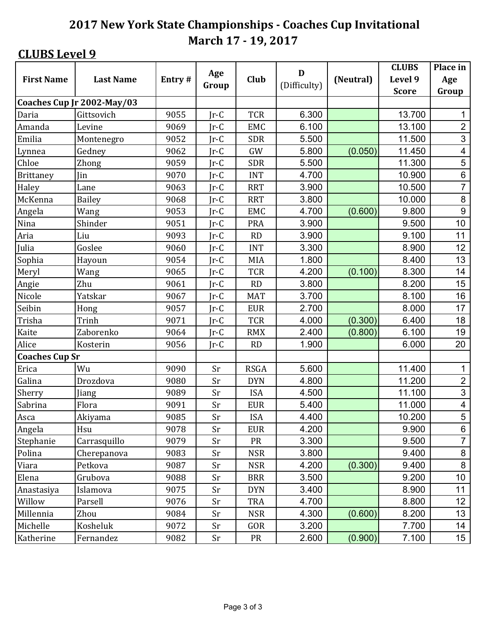|                       |                            |        |              |             | D            |           | <b>CLUBS</b> | Place in        |
|-----------------------|----------------------------|--------|--------------|-------------|--------------|-----------|--------------|-----------------|
| <b>First Name</b>     | <b>Last Name</b>           | Entry# | Age<br>Group | Club        | (Difficulty) | (Neutral) | Level 9      | Age             |
|                       |                            |        |              |             |              |           | <b>Score</b> | Group           |
|                       | Coaches Cup Jr 2002-May/03 |        |              |             |              |           |              |                 |
| Daria                 | Gittsovich                 | 9055   | $Jr-C$       | <b>TCR</b>  | 6.300        |           | 13.700       | $\mathbf{1}$    |
| Amanda                | Levine                     | 9069   | $Ir-C$       | <b>EMC</b>  | 6.100        |           | 13.100       | $\overline{2}$  |
| Emilia                | Montenegro                 | 9052   | $Ir-C$       | <b>SDR</b>  | 5.500        |           | 11.500       | $\mathbf{3}$    |
| Lynnea                | Gedney                     | 9062   | $Jr-C$       | GW          | 5.800        | (0.050)   | 11.450       | $\overline{4}$  |
| Chloe                 | Zhong                      | 9059   | $Ir-C$       | <b>SDR</b>  | 5.500        |           | 11.300       | 5               |
| <b>Brittaney</b>      | Jin                        | 9070   | $Ir-C$       | <b>INT</b>  | 4.700        |           | 10.900       | $\,6\,$         |
| Haley                 | Lane                       | 9063   | $Ir-C$       | <b>RRT</b>  | 3.900        |           | 10.500       | $\overline{7}$  |
| McKenna               | <b>Bailey</b>              | 9068   | $Ir-C$       | <b>RRT</b>  | 3.800        |           | 10.000       | $\,8\,$         |
| Angela                | Wang                       | 9053   | $Ir-C$       | EMC         | 4.700        | (0.600)   | 9.800        | 9               |
| Nina                  | Shinder                    | 9051   | $Ir-C$       | <b>PRA</b>  | 3.900        |           | 9.500        | 10              |
| Aria                  | Liu                        | 9093   | $Ir-C$       | <b>RD</b>   | 3.900        |           | 9.100        | 11              |
| Julia                 | Goslee                     | 9060   | $Jr-C$       | <b>INT</b>  | 3.300        |           | 8.900        | 12 <sub>2</sub> |
| Sophia                | Hayoun                     | 9054   | $Ir-C$       | <b>MIA</b>  | 1.800        |           | 8.400        | 13              |
| Meryl                 | Wang                       | 9065   | $Jr-C$       | <b>TCR</b>  | 4.200        | (0.100)   | 8.300        | 14              |
| Angie                 | Zhu                        | 9061   | $Jr-C$       | RD          | 3.800        |           | 8.200        | 15              |
| Nicole                | Yatskar                    | 9067   | $Ir-C$       | <b>MAT</b>  | 3.700        |           | 8.100        | 16              |
| Seibin                | Hong                       | 9057   | $Ir-C$       | <b>EUR</b>  | 2.700        |           | 8.000        | 17              |
| Trisha                | Trinh                      | 9071   | $Ir-C$       | <b>TCR</b>  | 4.000        | (0.300)   | 6.400        | 18              |
| Kaite                 | Zaborenko                  | 9064   | $Jr-C$       | <b>RMX</b>  | 2.400        | (0.800)   | 6.100        | 19              |
| Alice                 | Kosterin                   | 9056   | $Ir-C$       | <b>RD</b>   | 1.900        |           | 6.000        | 20              |
| <b>Coaches Cup Sr</b> |                            |        |              |             |              |           |              |                 |
| Erica                 | Wu                         | 9090   | Sr           | <b>RSGA</b> | 5.600        |           | 11.400       | $\mathbf 1$     |
| Galina                | Drozdova                   | 9080   | Sr           | <b>DYN</b>  | 4.800        |           | 11.200       | $\overline{2}$  |
| Sherry                | Jiang                      | 9089   | Sr           | <b>ISA</b>  | 4.500        |           | 11.100       | $\mathfrak{S}$  |
| Sabrina               | Flora                      | 9091   | Sr           | <b>EUR</b>  | 5.400        |           | 11.000       | $\overline{4}$  |
| Asca                  | Akiyama                    | 9085   | Sr           | <b>ISA</b>  | 4.400        |           | 10.200       | $\overline{5}$  |
| Angela                | Hsu                        | 9078   | Sr           | <b>EUR</b>  | 4.200        |           | 9.900        | 6               |
| Stephanie             | Carrasquillo               | 9079   | Sr           | <b>PR</b>   | 3.300        |           | 9.500        | $\overline{7}$  |
| Polina                | Cherepanova                | 9083   | Sr           | <b>NSR</b>  | 3.800        |           | 9.400        | 8               |
| Viara                 | Petkova                    | 9087   | Sr           | <b>NSR</b>  | 4.200        | (0.300)   | 9.400        | 8               |
| Elena                 | Grubova                    | 9088   | Sr           | <b>BRR</b>  | 3.500        |           | 9.200        | 10 <sup>°</sup> |
| Anastasiya            | Islamova                   | 9075   | Sr           | <b>DYN</b>  | 3.400        |           | 8.900        | 11              |
| Willow                | Parsell                    | 9076   | Sr           | <b>TRA</b>  | 4.700        |           | 8.800        | 12 <sub>2</sub> |
| Millennia             | Zhou                       | 9084   | Sr           | <b>NSR</b>  | 4.300        | (0.600)   | 8.200        | 13              |
| Michelle              | Kosheluk                   | 9072   | Sr           | GOR         | 3.200        |           | 7.700        | 14              |
| Katherine             | Fernandez                  | 9082   | Sr           | PR          | 2.600        | (0.900)   | 7.100        | 15 <sup>1</sup> |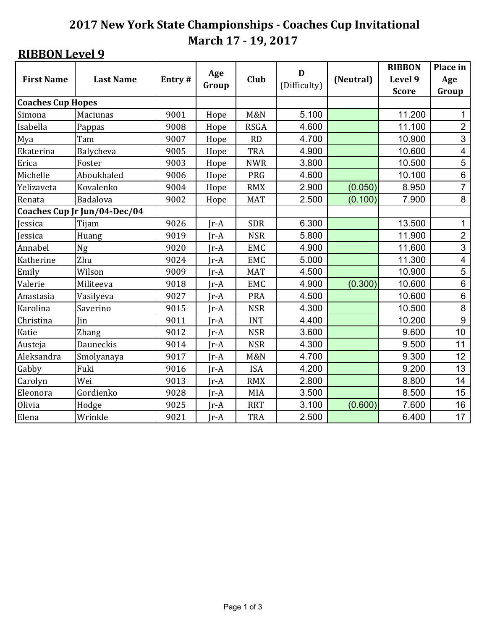|                          |                              |        | Age    |                | D            |           | <b>RIBBON</b> | Place in                |
|--------------------------|------------------------------|--------|--------|----------------|--------------|-----------|---------------|-------------------------|
| <b>First Name</b>        | <b>Last Name</b>             | Entry# | Group  | Club           | (Difficulty) | (Neutral) | Level 9       | Age                     |
|                          |                              |        |        |                |              |           | <b>Score</b>  | Group                   |
| <b>Coaches Cup Hopes</b> |                              |        |        |                |              |           |               |                         |
| Simona                   | Maciunas                     | 9001   | Hope   | <b>M&amp;N</b> | 5.100        |           | 11.200        | $\mathbf 1$             |
| Isabella                 | Pappas                       | 9008   | Hope   | <b>RSGA</b>    | 4.600        |           | 11.100        | $\overline{2}$          |
| Mya                      | Tam                          | 9007   | Hope   | <b>RD</b>      | 4.700        |           | 10.900        | 3                       |
| Ekaterina                | Balycheva                    | 9005   | Hope   | <b>TRA</b>     | 4.900        |           | 10.600        | $\overline{\mathbf{4}}$ |
| Erica                    | Foster                       | 9003   | Hope   | <b>NWR</b>     | 3.800        |           | 10.500        | 5                       |
| Michelle                 | Aboukhaled                   | 9006   | Hope   | PRG            | 4.600        |           | 10.100        | $\,6\,$                 |
| Yelizaveta               | Kovalenko                    | 9004   | Hope   | <b>RMX</b>     | 2.900        | (0.050)   | 8.950         | $\overline{7}$          |
| Renata                   | Badalova                     | 9002   | Hope   | <b>MAT</b>     | 2.500        | (0.100)   | 7.900         | $\,8\,$                 |
|                          | Coaches Cup Jr Jun/04-Dec/04 |        |        |                |              |           |               |                         |
| Jessica                  | Tijam                        | 9026   | $Ir-A$ | <b>SDR</b>     | 6.300        |           | 13.500        | 1                       |
| Jessica                  | Huang                        | 9019   | $Ir-A$ | <b>NSR</b>     | 5.800        |           | 11.900        | $\overline{2}$          |
| Annabel                  | Ng                           | 9020   | $Ir-A$ | <b>EMC</b>     | 4.900        |           | 11.600        | $\overline{3}$          |
| Katherine                | Zhu                          | 9024   | $Ir-A$ | <b>EMC</b>     | 5.000        |           | 11.300        | $\overline{\mathbf{4}}$ |
| Emily                    | Wilson                       | 9009   | $Ir-A$ | <b>MAT</b>     | 4.500        |           | 10.900        | 5                       |
| Valerie                  | Militeeva                    | 9018   | $Ir-A$ | <b>EMC</b>     | 4.900        | (0.300)   | 10.600        | $\,6\,$                 |
| Anastasia                | Vasilyeva                    | 9027   | $Ir-A$ | <b>PRA</b>     | 4.500        |           | 10.600        | $\,6$                   |
| Karolina                 | Saverino                     | 9015   | $Ir-A$ | <b>NSR</b>     | 4.300        |           | 10.500        | $\, 8$                  |
| Christina                | Jin                          | 9011   | $Jr-A$ | <b>INT</b>     | 4.400        |           | 10.200        | 9                       |
| Katie                    | <b>Zhang</b>                 | 9012   | $Ir-A$ | <b>NSR</b>     | 3.600        |           | 9.600         | 10                      |
| Austeja                  | Dauneckis                    | 9014   | $Jr-A$ | <b>NSR</b>     | 4.300        |           | 9.500         | 11                      |
| Aleksandra               | Smolyanaya                   | 9017   | $Ir-A$ | <b>M&amp;N</b> | 4.700        |           | 9.300         | 12                      |
| Gabby                    | Fuki                         | 9016   | $Jr-A$ | <b>ISA</b>     | 4.200        |           | 9.200         | 13                      |
| Carolyn                  | Wei                          | 9013   | $Ir-A$ | <b>RMX</b>     | 2.800        |           | 8.800         | 14                      |
| Eleonora                 | Gordienko                    | 9028   | $Jr-A$ | MIA            | 3.500        |           | 8.500         | 15                      |
| Olivia                   | Hodge                        | 9025   | $Jr-A$ | <b>RRT</b>     | 3.100        | (0.600)   | 7.600         | 16                      |
| Elena                    | Wrinkle                      | 9021   | $Ir-A$ | <b>TRA</b>     | 2.500        |           | 6.400         | 17                      |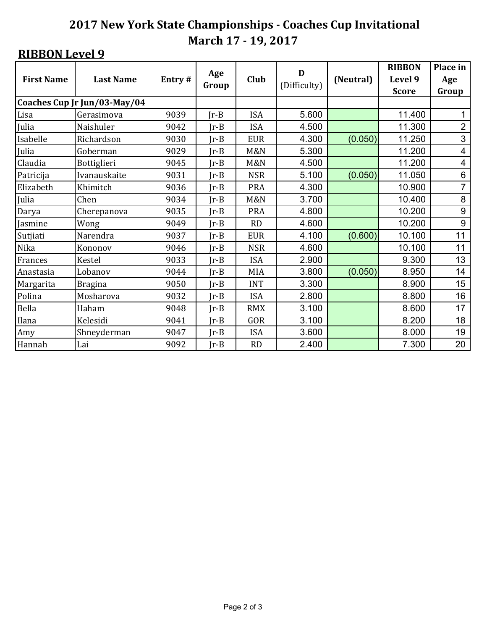|                   | <b>Last Name</b>             |        | Age    | Club           | D            |           | <b>RIBBON</b> | Place in         |
|-------------------|------------------------------|--------|--------|----------------|--------------|-----------|---------------|------------------|
| <b>First Name</b> |                              | Entry# | Group  |                | (Difficulty) | (Neutral) | Level 9       | Age              |
|                   | Coaches Cup Jr Jun/03-May/04 |        |        |                |              |           | <b>Score</b>  | Group            |
| Lisa              | Gerasimova                   | 9039   | $Ir-B$ | <b>ISA</b>     | 5.600        |           | 11.400        | 1                |
| Julia             | Naishuler                    | 9042   | $Ir-B$ | <b>ISA</b>     | 4.500        |           | 11.300        | $\overline{2}$   |
| Isabelle          | Richardson                   | 9030   | $Ir-B$ | <b>EUR</b>     | 4.300        | (0.050)   | 11.250        | 3                |
| Julia             | Goberman                     | 9029   | $Ir-B$ | <b>M&amp;N</b> | 5.300        |           | 11.200        | 4                |
| Claudia           | Bottiglieri                  | 9045   | $Ir-B$ | <b>M&amp;N</b> | 4.500        |           | 11.200        | 4                |
| Patricija         | Ivanauskaite                 | 9031   | $Ir-B$ | <b>NSR</b>     | 5.100        | (0.050)   | 11.050        | 6                |
| Elizabeth         | Khimitch                     | 9036   | $Ir-B$ | <b>PRA</b>     | 4.300        |           | 10.900        | $\overline{7}$   |
| Julia             | Chen                         | 9034   | $Ir-B$ | <b>M&amp;N</b> | 3.700        |           | 10.400        | 8                |
| Darya             | Cherepanova                  | 9035   | $Ir-B$ | <b>PRA</b>     | 4.800        |           | 10.200        | $\boldsymbol{9}$ |
| Jasmine           | Wong                         | 9049   | $Ir-B$ | RD             | 4.600        |           | 10.200        | $\boldsymbol{9}$ |
| Sutjiati          | Narendra                     | 9037   | $Ir-B$ | <b>EUR</b>     | 4.100        | (0.600)   | 10.100        | 11               |
| Nika              | Kononov                      | 9046   | $Ir-B$ | <b>NSR</b>     | 4.600        |           | 10.100        | 11               |
| Frances           | <b>Kestel</b>                | 9033   | $Ir-B$ | <b>ISA</b>     | 2.900        |           | 9.300         | 13               |
| Anastasia         | Lobanov                      | 9044   | $Ir-B$ | <b>MIA</b>     | 3.800        | (0.050)   | 8.950         | 14               |
| Margarita         | <b>Bragina</b>               | 9050   | $Ir-B$ | <b>INT</b>     | 3.300        |           | 8.900         | 15               |
| Polina            | Mosharova                    | 9032   | $Ir-B$ | <b>ISA</b>     | 2.800        |           | 8.800         | 16               |
| Bella             | Haham                        | 9048   | $Ir-B$ | <b>RMX</b>     | 3.100        |           | 8.600         | 17               |
| Ilana             | Kelesidi                     | 9041   | $Ir-B$ | GOR            | 3.100        |           | 8.200         | 18               |
| Amy               | Shneyderman                  | 9047   | $Ir-B$ | <b>ISA</b>     | 3.600        |           | 8.000         | 19               |
| Hannah            | Lai                          | 9092   | $Ir-B$ | <b>RD</b>      | 2.400        |           | 7.300         | 20               |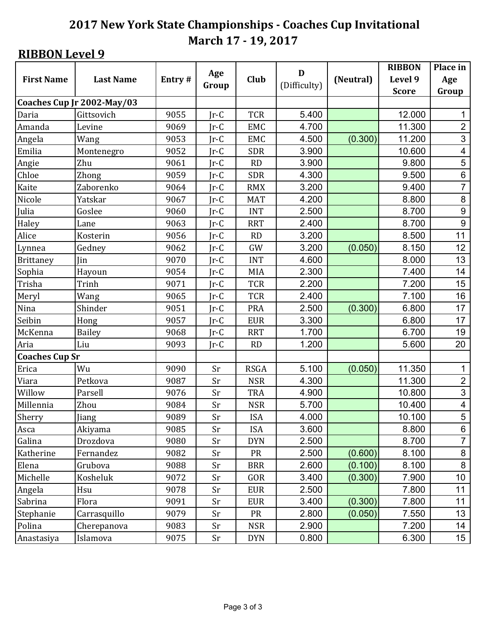|                       |                            |        | Age    |             | D            |           | <b>RIBBON</b> | Place in                |
|-----------------------|----------------------------|--------|--------|-------------|--------------|-----------|---------------|-------------------------|
| <b>First Name</b>     | <b>Last Name</b>           | Entry# | Group  | Club        | (Difficulty) | (Neutral) | Level 9       | Age                     |
|                       |                            |        |        |             |              |           | <b>Score</b>  | Group                   |
|                       | Coaches Cup Jr 2002-May/03 |        |        |             |              |           |               |                         |
| Daria                 | Gittsovich                 | 9055   | $Jr-C$ | <b>TCR</b>  | 5.400        |           | 12.000        | $\mathbf{1}$            |
| Amanda                | Levine                     | 9069   | $Jr-C$ | <b>EMC</b>  | 4.700        |           | 11.300        | $\overline{2}$          |
| Angela                | Wang                       | 9053   | $Jr-C$ | <b>EMC</b>  | 4.500        | (0.300)   | 11.200        | $\mathfrak{S}$          |
| Emilia                | Montenegro                 | 9052   | $Ir-C$ | <b>SDR</b>  | 3.900        |           | 10.600        | $\overline{\mathbf{4}}$ |
| Angie                 | Zhu                        | 9061   | $Ir-C$ | <b>RD</b>   | 3.900        |           | 9.800         | 5                       |
| Chloe                 | Zhong                      | 9059   | $Ir-C$ | <b>SDR</b>  | 4.300        |           | 9.500         | $\,6\,$                 |
| Kaite                 | Zaborenko                  | 9064   | $Ir-C$ | <b>RMX</b>  | 3.200        |           | 9.400         | $\overline{7}$          |
| Nicole                | Yatskar                    | 9067   | $Ir-C$ | <b>MAT</b>  | 4.200        |           | 8.800         | 8                       |
| Julia                 | Goslee                     | 9060   | $Ir-C$ | <b>INT</b>  | 2.500        |           | 8.700         | 9                       |
| Haley                 | Lane                       | 9063   | $Ir-C$ | <b>RRT</b>  | 2.400        |           | 8.700         | $\boldsymbol{9}$        |
| Alice                 | Kosterin                   | 9056   | $Ir-C$ | <b>RD</b>   | 3.200        |           | 8.500         | 11                      |
| Lynnea                | Gedney                     | 9062   | $Ir-C$ | GW          | 3.200        | (0.050)   | 8.150         | 12                      |
| Brittaney             | Jin                        | 9070   | $Ir-C$ | <b>INT</b>  | 4.600        |           | 8.000         | 13                      |
| Sophia                | Hayoun                     | 9054   | $Jr-C$ | <b>MIA</b>  | 2.300        |           | 7.400         | 14                      |
| Trisha                | Trinh                      | 9071   | $Ir-C$ | <b>TCR</b>  | 2.200        |           | 7.200         | 15                      |
| Meryl                 | Wang                       | 9065   | $Jr-C$ | <b>TCR</b>  | 2.400        |           | 7.100         | 16                      |
| Nina                  | Shinder                    | 9051   | $Jr-C$ | PRA         | 2.500        | (0.300)   | 6.800         | 17                      |
| Seibin                | Hong                       | 9057   | $Jr-C$ | <b>EUR</b>  | 3.300        |           | 6.800         | 17                      |
| McKenna               | <b>Bailey</b>              | 9068   | $Ir-C$ | <b>RRT</b>  | 1.700        |           | 6.700         | 19                      |
| Aria                  | Liu                        | 9093   | $Jr-C$ | <b>RD</b>   | 1.200        |           | 5.600         | 20                      |
| <b>Coaches Cup Sr</b> |                            |        |        |             |              |           |               |                         |
| Erica                 | Wu                         | 9090   | Sr     | <b>RSGA</b> | 5.100        | (0.050)   | 11.350        | $\mathbf{1}$            |
| Viara                 | Petkova                    | 9087   | Sr     | <b>NSR</b>  | 4.300        |           | 11.300        | $\overline{2}$          |
| Willow                | Parsell                    | 9076   | Sr     | <b>TRA</b>  | 4.900        |           | 10.800        | 3                       |
| Millennia             | Zhou                       | 9084   | Sr     | <b>NSR</b>  | 5.700        |           | 10.400        | $\overline{\mathbf{4}}$ |
| Sherry                | Jiang                      | 9089   | Sr     | <b>ISA</b>  | 4.000        |           | 10.100        | $\overline{5}$          |
| Asca                  | Akiyama                    | 9085   | Sr     | <b>ISA</b>  | 3.600        |           | 8.800         | 6                       |
| Galina                | Drozdova                   | 9080   | Sr     | <b>DYN</b>  | 2.500        |           | 8.700         | $\overline{7}$          |
| Katherine             | Fernandez                  | 9082   | Sr     | <b>PR</b>   | 2.500        | (0.600)   | 8.100         | 8                       |
| Elena                 | Grubova                    | 9088   | Sr     | <b>BRR</b>  | 2.600        | (0.100)   | 8.100         | 8                       |
| Michelle              | Kosheluk                   | 9072   | Sr     | GOR         | 3.400        | (0.300)   | 7.900         | 10                      |
| Angela                | Hsu                        | 9078   | Sr     | <b>EUR</b>  | 2.500        |           | 7.800         | 11                      |
| Sabrina               | Flora                      | 9091   | Sr     | <b>EUR</b>  | 3.400        | (0.300)   | 7.800         | 11                      |
| Stephanie             | Carrasquillo               | 9079   | Sr     | <b>PR</b>   | 2.800        | (0.050)   | 7.550         | 13                      |
| Polina                | Cherepanova                | 9083   | Sr     | <b>NSR</b>  | 2.900        |           | 7.200         | 14                      |
| Anastasiya            | Islamova                   | 9075   | Sr     | <b>DYN</b>  | 0.800        |           | 6.300         | 15 <sub>15</sub>        |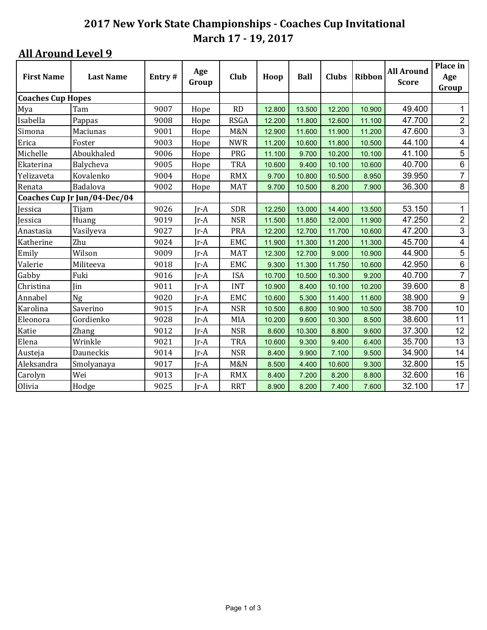| <b>First Name</b>        | <b>Last Name</b>             | Entry# | Age<br>Group | Club           | Hoop   | <b>Ball</b> | <b>Clubs</b> | Ribbon | <b>All Around</b><br><b>Score</b> | Place in<br>Age         |
|--------------------------|------------------------------|--------|--------------|----------------|--------|-------------|--------------|--------|-----------------------------------|-------------------------|
|                          |                              |        |              |                |        |             |              |        |                                   | Group                   |
| <b>Coaches Cup Hopes</b> |                              |        |              |                |        |             |              |        |                                   |                         |
| Mya                      | Tam                          | 9007   | Hope         | <b>RD</b>      | 12.800 | 13.500      | 12.200       | 10.900 | 49.400                            | 1                       |
| Isabella                 | Pappas                       | 9008   | Hope         | <b>RSGA</b>    | 12.200 | 11.800      | 12.600       | 11.100 | 47.700                            | $\overline{c}$          |
| Simona                   | Maciunas                     | 9001   | Hope         | <b>M&amp;N</b> | 12.900 | 11.600      | 11.900       | 11.200 | 47.600                            | 3                       |
| Erica                    | Foster                       | 9003   | Hope         | <b>NWR</b>     | 11.200 | 10.600      | 11.800       | 10.500 | 44.100                            | 4                       |
| Michelle                 | Aboukhaled                   | 9006   | Hope         | PRG            | 11.100 | 9.700       | 10.200       | 10.100 | 41.100                            | $\overline{5}$          |
| Ekaterina                | Balycheva                    | 9005   | Hope         | TRA            | 10.600 | 9.400       | 10.100       | 10.600 | 40.700                            | $\,6$                   |
| Yelizaveta               | Kovalenko                    | 9004   | Hope         | <b>RMX</b>     | 9.700  | 10.800      | 10.500       | 8.950  | 39.950                            | $\overline{7}$          |
| Renata                   | Badalova                     | 9002   | Hope         | <b>MAT</b>     | 9.700  | 10.500      | 8.200        | 7.900  | 36.300                            | 8                       |
|                          | Coaches Cup Jr Jun/04-Dec/04 |        |              |                |        |             |              |        |                                   |                         |
| Jessica                  | Tijam                        | 9026   | Jr-A         | <b>SDR</b>     | 12.250 | 13.000      | 14.400       | 13.500 | 53.150                            | 1                       |
| Jessica                  | Huang                        | 9019   | $Ir-A$       | <b>NSR</b>     | 11.500 | 11.850      | 12.000       | 11.900 | 47.250                            | $\overline{2}$          |
| Anastasia                | Vasilyeva                    | 9027   | Jr-A         | <b>PRA</b>     | 12.200 | 12.700      | 11.700       | 10.600 | 47.200                            | 3                       |
| Katherine                | Zhu                          | 9024   | Jr-A         | <b>EMC</b>     | 11.900 | 11.300      | 11.200       | 11.300 | 45.700                            | $\overline{\mathbf{4}}$ |
| Emily                    | Wilson                       | 9009   | Jr-A         | <b>MAT</b>     | 12.300 | 12.700      | 9.000        | 10.900 | 44.900                            | 5                       |
| Valerie                  | Militeeva                    | 9018   | Jr-A         | <b>EMC</b>     | 9.300  | 11.300      | 11.750       | 10.600 | 42.950                            | $\,6$                   |
| Gabby                    | Fuki                         | 9016   | Jr-A         | <b>ISA</b>     | 10.700 | 10.500      | 10.300       | 9.200  | 40.700                            | $\overline{7}$          |
| Christina                | Jin                          | 9011   | Jr-A         | <b>INT</b>     | 10.900 | 8.400       | 10.100       | 10.200 | 39.600                            | $\, 8$                  |
| Annabel                  | Ng                           | 9020   | Jr-A         | <b>EMC</b>     | 10.600 | 5.300       | 11.400       | 11.600 | 38.900                            | $\boldsymbol{9}$        |
| Karolina                 | Saverino                     | 9015   | Jr-A         | <b>NSR</b>     | 10.500 | 6.800       | 10.900       | 10.500 | 38.700                            | 10                      |
| Eleonora                 | Gordienko                    | 9028   | Jr-A         | MIA            | 10.200 | 9.600       | 10.300       | 8.500  | 38.600                            | 11                      |
| Katie                    | Zhang                        | 9012   | Jr-A         | <b>NSR</b>     | 8.600  | 10.300      | 8.800        | 9.600  | 37.300                            | 12                      |
| Elena                    | Wrinkle                      | 9021   | Jr-A         | TRA            | 10.600 | 9.300       | 9.400        | 6.400  | 35.700                            | 13                      |
| Austeja                  | Dauneckis                    | 9014   | Jr-A         | <b>NSR</b>     | 8.400  | 9.900       | 7.100        | 9.500  | 34.900                            | 14                      |
| Aleksandra               | Smolyanaya                   | 9017   | Jr-A         | <b>M&amp;N</b> | 8.500  | 4.400       | 10.600       | 9.300  | 32.800                            | 15                      |
| Carolyn                  | Wei                          | 9013   | Jr-A         | <b>RMX</b>     | 8.400  | 7.200       | 8.200        | 8.800  | 32.600                            | 16                      |
| Olivia                   | Hodge                        | 9025   | Jr-A         | <b>RRT</b>     | 8.900  | 8.200       | 7.400        | 7.600  | 32.100                            | 17                      |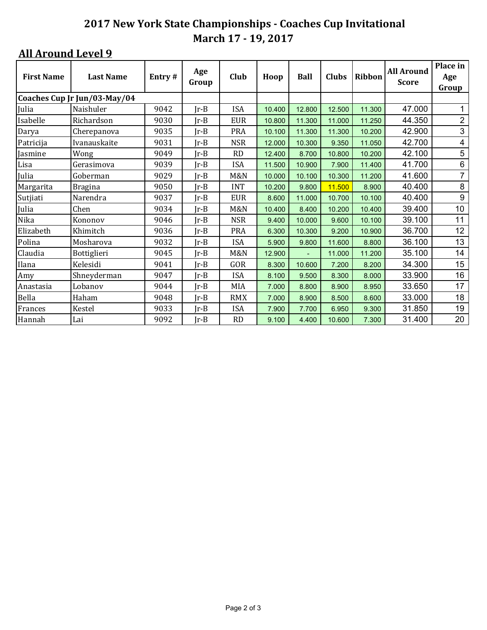| <b>First Name</b> | <b>Last Name</b>             | Entry# | Age<br>Group | Club           | Hoop   | <b>Ball</b>    | Clubs  | Ribbon | <b>All Around</b><br><b>Score</b> | Place in<br>Age<br>Group  |
|-------------------|------------------------------|--------|--------------|----------------|--------|----------------|--------|--------|-----------------------------------|---------------------------|
|                   | Coaches Cup Jr Jun/03-May/04 |        |              |                |        |                |        |        |                                   |                           |
| Julia             | Naishuler                    | 9042   | $Ir-B$       | <b>ISA</b>     | 10.400 | 12.800         | 12.500 | 11.300 | 47.000                            |                           |
| Isabelle          | Richardson                   | 9030   | $Ir-B$       | <b>EUR</b>     | 10.800 | 11.300         | 11.000 | 11.250 | 44.350                            | $\boldsymbol{2}$          |
| Darya             | Cherepanova                  | 9035   | $Jr-B$       | <b>PRA</b>     | 10.100 | 11.300         | 11.300 | 10.200 | 42.900                            | $\ensuremath{\mathsf{3}}$ |
| Patricija         | Ivanauskaite                 | 9031   | $Ir-B$       | <b>NSR</b>     | 12.000 | 10.300         | 9.350  | 11.050 | 42.700                            | 4                         |
| Jasmine           | Wong                         | 9049   | $Ir-B$       | <b>RD</b>      | 12.400 | 8.700          | 10.800 | 10.200 | 42.100                            | 5                         |
| Lisa              | Gerasimova                   | 9039   | $Jr-B$       | <b>ISA</b>     | 11.500 | 10.900         | 7.900  | 11.400 | 41.700                            | 6                         |
| Julia             | Goberman                     | 9029   | Jr-B         | M&N            | 10.000 | 10.100         | 10.300 | 11.200 | 41.600                            | $\overline{7}$            |
| Margarita         | <b>Bragina</b>               | 9050   | $Ir-B$       | <b>INT</b>     | 10.200 | 9.800          | 11.500 | 8.900  | 40.400                            | 8                         |
| Sutjiati          | Narendra                     | 9037   | $Ir-B$       | <b>EUR</b>     | 8.600  | 11.000         | 10.700 | 10.100 | 40.400                            | 9                         |
| Julia             | Chen                         | 9034   | $Ir-B$       | <b>M&amp;N</b> | 10.400 | 8.400          | 10.200 | 10.400 | 39.400                            | 10                        |
| Nika              | Kononov                      | 9046   | $Ir-B$       | <b>NSR</b>     | 9.400  | 10.000         | 9.600  | 10.100 | 39.100                            | 11                        |
| Elizabeth         | Khimitch                     | 9036   | $Ir-B$       | <b>PRA</b>     | 6.300  | 10.300         | 9.200  | 10.900 | 36.700                            | 12                        |
| Polina            | Mosharova                    | 9032   | $Ir-B$       | <b>ISA</b>     | 5.900  | 9.800          | 11.600 | 8.800  | 36.100                            | 13                        |
| Claudia           | Bottiglieri                  | 9045   | $Ir-B$       | M&N            | 12.900 | $\blacksquare$ | 11.000 | 11.200 | 35.100                            | 14                        |
| Ilana             | Kelesidi                     | 9041   | $Jr-B$       | GOR            | 8.300  | 10.600         | 7.200  | 8.200  | 34.300                            | 15                        |
| Amy               | Shneyderman                  | 9047   | Jr-B         | <b>ISA</b>     | 8.100  | 9.500          | 8.300  | 8.000  | 33.900                            | 16                        |
| Anastasia         | Lobanov                      | 9044   | $Ir-B$       | MIA            | 7.000  | 8.800          | 8.900  | 8.950  | 33.650                            | 17                        |
| Bella             | Haham                        | 9048   | $Ir-B$       | <b>RMX</b>     | 7.000  | 8.900          | 8.500  | 8.600  | 33.000                            | 18                        |
| Frances           | Kestel                       | 9033   | $Jr-B$       | <b>ISA</b>     | 7.900  | 7.700          | 6.950  | 9.300  | 31.850                            | 19                        |
| Hannah            | Lai                          | 9092   | $Ir-B$       | RD             | 9.100  | 4.400          | 10.600 | 7.300  | 31.400                            | 20                        |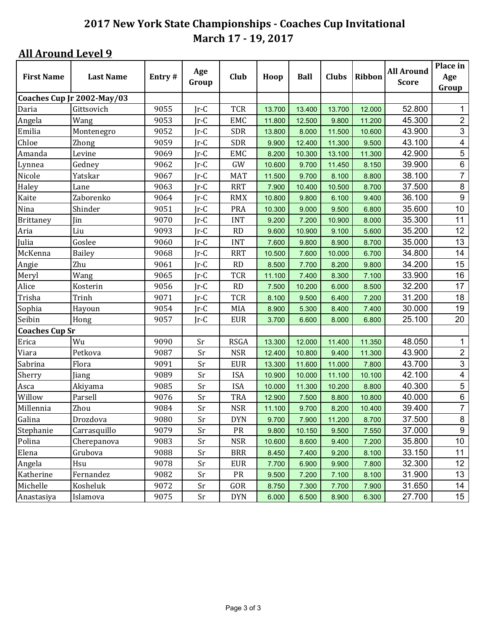|                       |                            |        |              |             |        |             |        |        | <b>All Around</b> | Place in                  |
|-----------------------|----------------------------|--------|--------------|-------------|--------|-------------|--------|--------|-------------------|---------------------------|
| <b>First Name</b>     | <b>Last Name</b>           | Entry# | Age<br>Group | Club        | Hoop   | <b>Ball</b> | Clubs  | Ribbon | <b>Score</b>      | Age                       |
|                       |                            |        |              |             |        |             |        |        |                   | Group                     |
|                       | Coaches Cup Jr 2002-May/03 |        |              |             |        |             |        |        |                   |                           |
| Daria                 | Gittsovich                 | 9055   | $Ir-C$       | <b>TCR</b>  | 13.700 | 13.400      | 13.700 | 12.000 | 52.800            | 1                         |
| Angela                | Wang                       | 9053   | $Ir-C$       | <b>EMC</b>  | 11.800 | 12.500      | 9.800  | 11.200 | 45.300            | $\boldsymbol{2}$          |
| Emilia                | Montenegro                 | 9052   | $Jr-C$       | <b>SDR</b>  | 13.800 | 8.000       | 11.500 | 10.600 | 43.900            | 3                         |
| Chloe                 | Zhong                      | 9059   | $Ir-C$       | <b>SDR</b>  | 9.900  | 12.400      | 11.300 | 9.500  | 43.100            | 4                         |
| Amanda                | Levine                     | 9069   | $Ir-C$       | <b>EMC</b>  | 8.200  | 10.300      | 13.100 | 11.300 | 42.900            | $\sqrt{5}$                |
| Lynnea                | Gedney                     | 9062   | $Ir-C$       | GW          | 10.600 | 9.700       | 11.450 | 8.150  | 39.900            | $\,6\,$                   |
| Nicole                | Yatskar                    | 9067   | $Ir-C$       | <b>MAT</b>  | 11.500 | 9.700       | 8.100  | 8.800  | 38.100            | $\overline{7}$            |
| Haley                 | Lane                       | 9063   | $Ir-C$       | <b>RRT</b>  | 7.900  | 10.400      | 10.500 | 8.700  | 37.500            | $\,8\,$                   |
| Kaite                 | Zaborenko                  | 9064   | $Ir-C$       | <b>RMX</b>  | 10.800 | 9.800       | 6.100  | 9.400  | 36.100            | $\boldsymbol{9}$          |
| Nina                  | Shinder                    | 9051   | $Ir-C$       | <b>PRA</b>  | 10.300 | 9.000       | 9.500  | 6.800  | 35.600            | 10                        |
| <b>Brittaney</b>      | Jin                        | 9070   | $Ir-C$       | <b>INT</b>  | 9.200  | 7.200       | 10.900 | 8.000  | 35.300            | 11                        |
| Aria                  | Liu                        | 9093   | $Ir-C$       | <b>RD</b>   | 9.600  | 10.900      | 9.100  | 5.600  | 35.200            | 12                        |
| Julia                 | Goslee                     | 9060   | $Ir-C$       | <b>INT</b>  | 7.600  | 9.800       | 8.900  | 8.700  | 35.000            | 13                        |
| McKenna               | <b>Bailey</b>              | 9068   | $Ir-C$       | <b>RRT</b>  | 10.500 | 7.600       | 10.000 | 6.700  | 34.800            | 14                        |
| Angie                 | Zhu                        | 9061   | $Ir-C$       | RD          | 8.500  | 7.700       | 8.200  | 9.800  | 34.200            | 15                        |
| Meryl                 | Wang                       | 9065   | $Ir-C$       | <b>TCR</b>  | 11.100 | 7.400       | 8.300  | 7.100  | 33.900            | 16                        |
| Alice                 | Kosterin                   | 9056   | $Ir-C$       | <b>RD</b>   | 7.500  | 10.200      | 6.000  | 8.500  | 32.200            | 17                        |
| Trisha                | Trinh                      | 9071   | $Ir-C$       | <b>TCR</b>  | 8.100  | 9.500       | 6.400  | 7.200  | 31.200            | 18                        |
| Sophia                | Hayoun                     | 9054   | $Ir-C$       | MIA         | 8.900  | 5.300       | 8.400  | 7.400  | 30.000            | 19                        |
| Seibin                | Hong                       | 9057   | $Ir-C$       | <b>EUR</b>  | 3.700  | 6.600       | 8.000  | 6.800  | 25.100            | 20                        |
| <b>Coaches Cup Sr</b> |                            |        |              |             |        |             |        |        |                   |                           |
| Erica                 | Wu                         | 9090   | Sr           | <b>RSGA</b> | 13.300 | 12.000      | 11.400 | 11.350 | 48.050            | 1                         |
| Viara                 | Petkova                    | 9087   | Sr           | <b>NSR</b>  | 12.400 | 10.800      | 9.400  | 11.300 | 43.900            | $\overline{c}$            |
| Sabrina               | Flora                      | 9091   | Sr           | <b>EUR</b>  | 13.300 | 11.600      | 11.000 | 7.800  | 43.700            | $\ensuremath{\mathsf{3}}$ |
| Sherry                | Jiang                      | 9089   | Sr           | <b>ISA</b>  | 10.900 | 10.000      | 11.100 | 10.100 | 42.100            | 4                         |
| Asca                  | Akiyama                    | 9085   | Sr           | <b>ISA</b>  | 10.000 | 11.300      | 10.200 | 8.800  | 40.300            | 5                         |
| Willow                | Parsell                    | 9076   | Sr           | <b>TRA</b>  | 12.900 | 7.500       | 8.800  | 10.800 | 40.000            | $\,6\,$                   |
| Millennia             | Zhou                       | 9084   | Sr           | <b>NSR</b>  | 11.100 | 9.700       | 8.200  | 10.400 | 39.400            | $\overline{7}$            |
| Galina                | Drozdova                   | 9080   | Sr           | <b>DYN</b>  | 9.700  | 7.900       | 11.200 | 8.700  | 37.500            | $\bf 8$                   |
| Stephanie             | Carrasquillo               | 9079   | Sr           | PR          | 9.800  | 10.150      | 9.500  | 7.550  | 37.000            | $\boldsymbol{9}$          |
| Polina                | Cherepanova                | 9083   | Sr           | <b>NSR</b>  | 10.600 | 8.600       | 9.400  | 7.200  | 35.800            | 10                        |
| Elena                 | Grubova                    | 9088   | Sr           | <b>BRR</b>  | 8.450  | 7.400       | 9.200  | 8.100  | 33.150            | 11                        |
| Angela                | Hsu                        | 9078   | Sr           | <b>EUR</b>  | 7.700  | 6.900       | 9.900  | 7.800  | 32.300            | 12                        |
| Katherine             | Fernandez                  | 9082   | Sr           | ${\sf PR}$  | 9.500  | 7.200       | 7.100  | 8.100  | 31.900            | 13                        |
| Michelle              | Kosheluk                   | 9072   | Sr           | GOR         | 8.750  | 7.300       | 7.700  | 7.900  | 31.650            | 14                        |
| Anastasiya            | Islamova                   | 9075   | Sr           | <b>DYN</b>  | 6.000  | 6.500       | 8.900  | 6.300  | 27.700            | 15                        |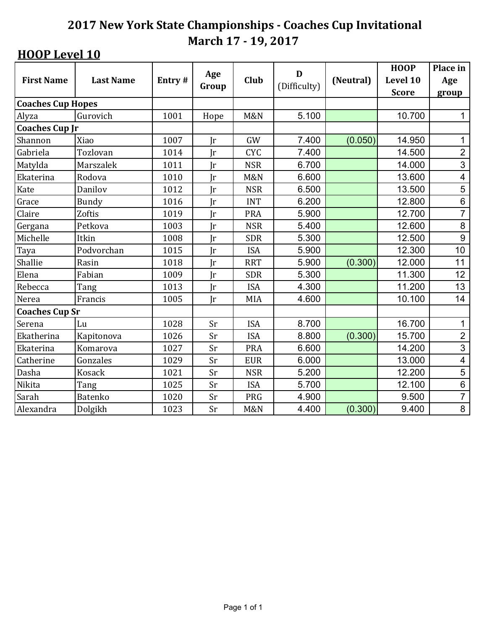|                          |                  |        | Age          |                | D            |           | <b>HOOP</b>  | Place in                 |
|--------------------------|------------------|--------|--------------|----------------|--------------|-----------|--------------|--------------------------|
| <b>First Name</b>        | <b>Last Name</b> | Entry# |              | Club           | (Difficulty) | (Neutral) | Level 10     | Age                      |
|                          |                  |        | Group        |                |              |           | <b>Score</b> | group                    |
| <b>Coaches Cup Hopes</b> |                  |        |              |                |              |           |              |                          |
| Alyza                    | Gurovich         | 1001   | Hope         | <b>M&amp;N</b> | 5.100        |           | 10.700       | 1                        |
| <b>Coaches Cup Jr</b>    |                  |        |              |                |              |           |              |                          |
| Shannon                  | Xiao             | 1007   | $\mathbf{r}$ | GW             | 7.400        | (0.050)   | 14.950       | 1                        |
| Gabriela                 | Tozlovan         | 1014   | Jr           | <b>CYC</b>     | 7.400        |           | 14.500       | $\overline{2}$           |
| Matylda                  | Marszalek        | 1011   | Jr           | <b>NSR</b>     | 6.700        |           | 14.000       | 3                        |
| Ekaterina                | Rodova           | 1010   | Jr           | <b>M&amp;N</b> | 6.600        |           | 13.600       | $\overline{\mathbf{4}}$  |
| Kate                     | Danilov          | 1012   | Jr           | <b>NSR</b>     | 6.500        |           | 13.500       | 5                        |
| Grace                    | <b>Bundy</b>     | 1016   | Jr           | <b>INT</b>     | 6.200        |           | 12.800       | $\,6$                    |
| Claire                   | Zoftis           | 1019   | Jr           | <b>PRA</b>     | 5.900        |           | 12.700       | $\overline{7}$           |
| Gergana                  | Petkova          | 1003   | Ir           | <b>NSR</b>     | 5.400        |           | 12.600       | 8                        |
| Michelle                 | Itkin            | 1008   | Jr           | <b>SDR</b>     | 5.300        |           | 12.500       | $\boldsymbol{9}$         |
| Taya                     | Podvorchan       | 1015   | $\mathbf{r}$ | <b>ISA</b>     | 5.900        |           | 12.300       | 10                       |
| Shallie                  | Rasin            | 1018   | $\mathbf{r}$ | <b>RRT</b>     | 5.900        | (0.300)   | 12.000       | 11                       |
| Elena                    | Fabian           | 1009   | Jr           | <b>SDR</b>     | 5.300        |           | 11.300       | 12                       |
| Rebecca                  | Tang             | 1013   | $\mathbf{r}$ | <b>ISA</b>     | 4.300        |           | 11.200       | 13                       |
| Nerea                    | Francis          | 1005   | Jr           | <b>MIA</b>     | 4.600        |           | 10.100       | 14                       |
| <b>Coaches Cup Sr</b>    |                  |        |              |                |              |           |              |                          |
| Serena                   | Lu               | 1028   | Sr           | <b>ISA</b>     | 8.700        |           | 16.700       | 1                        |
| Ekatherina               | Kapitonova       | 1026   | Sr           | <b>ISA</b>     | 8.800        | (0.300)   | 15.700       | $\overline{c}$           |
| Ekaterina                | Komarova         | 1027   | Sr           | <b>PRA</b>     | 6.600        |           | 14.200       | $\overline{3}$           |
| Catherine                | Gonzales         | 1029   | Sr           | <b>EUR</b>     | 6.000        |           | 13.000       | $\overline{\mathcal{A}}$ |
| Dasha                    | <b>Kosack</b>    | 1021   | Sr           | <b>NSR</b>     | 5.200        |           | 12.200       | 5                        |
| Nikita                   | Tang             | 1025   | Sr           | <b>ISA</b>     | 5.700        |           | 12.100       | $\overline{6}$           |
| Sarah                    | <b>Batenko</b>   | 1020   | Sr           | <b>PRG</b>     | 4.900        |           | 9.500        | $\overline{7}$           |
| Alexandra                | Dolgikh          | 1023   | Sr           | <b>M&amp;N</b> | 4.400        | (0.300)   | 9.400        | 8                        |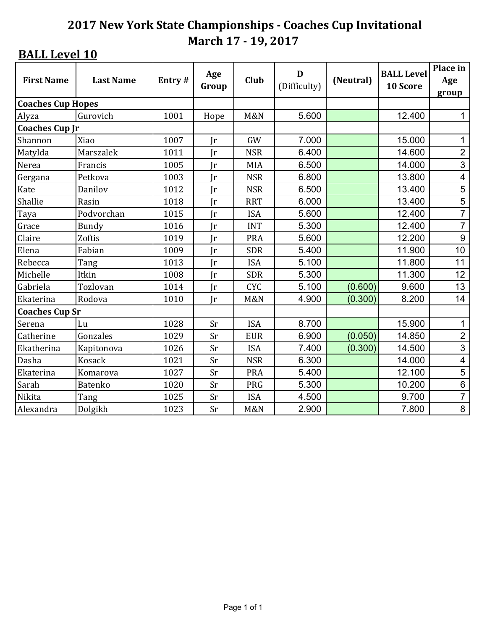| <b>First Name</b>        | <b>Last Name</b> | Entry# | Age<br>Group | Club           | D<br>(Difficulty) | (Neutral) | <b>BALL Level</b><br>10 Score | Place in<br>Age<br>group |
|--------------------------|------------------|--------|--------------|----------------|-------------------|-----------|-------------------------------|--------------------------|
| <b>Coaches Cup Hopes</b> |                  |        |              |                |                   |           |                               |                          |
| Alyza                    | Gurovich         | 1001   | Hope         | <b>M&amp;N</b> | 5.600             |           | 12.400                        | 1                        |
| <b>Coaches Cup Jr</b>    |                  |        |              |                |                   |           |                               |                          |
| Shannon                  | Xiao             | 1007   | $\mathbf{r}$ | GW             | 7.000             |           | 15.000                        | 1                        |
| Matylda                  | Marszalek        | 1011   | $\mathbf{r}$ | <b>NSR</b>     | 6.400             |           | 14.600                        | $\overline{2}$           |
| Nerea                    | Francis          | 1005   | Ir           | MIA            | 6.500             |           | 14.000                        | 3                        |
| Gergana                  | Petkova          | 1003   | $\mathbf{r}$ | <b>NSR</b>     | 6.800             |           | 13.800                        | $\overline{\mathbf{4}}$  |
| Kate                     | Danilov          | 1012   | Ir           | <b>NSR</b>     | 6.500             |           | 13.400                        | 5                        |
| Shallie                  | Rasin            | 1018   | $\mathbf{r}$ | <b>RRT</b>     | 6.000             |           | 13.400                        | 5                        |
| Taya                     | Podvorchan       | 1015   | Ir           | <b>ISA</b>     | 5.600             |           | 12.400                        | $\overline{7}$           |
| Grace                    | <b>Bundy</b>     | 1016   | $\mathbf{r}$ | <b>INT</b>     | 5.300             |           | 12.400                        | $\overline{7}$           |
| Claire                   | Zoftis           | 1019   | $\mathbf{r}$ | <b>PRA</b>     | 5.600             |           | 12.200                        | $\boldsymbol{9}$         |
| Elena                    | Fabian           | 1009   | $\mathbf{r}$ | <b>SDR</b>     | 5.400             |           | 11.900                        | 10                       |
| Rebecca                  | Tang             | 1013   | $\mathbf{r}$ | <b>ISA</b>     | 5.100             |           | 11.800                        | 11                       |
| Michelle                 | Itkin            | 1008   | Jr           | <b>SDR</b>     | 5.300             |           | 11.300                        | 12                       |
| Gabriela                 | Tozlovan         | 1014   | $\mathbf{r}$ | <b>CYC</b>     | 5.100             | (0.600)   | 9.600                         | 13                       |
| Ekaterina                | Rodova           | 1010   | $\mathbf{r}$ | <b>M&amp;N</b> | 4.900             | (0.300)   | 8.200                         | 14                       |
| <b>Coaches Cup Sr</b>    |                  |        |              |                |                   |           |                               |                          |
| Serena                   | Lu               | 1028   | Sr           | <b>ISA</b>     | 8.700             |           | 15.900                        | 1                        |
| Catherine                | Gonzales         | 1029   | Sr           | <b>EUR</b>     | 6.900             | (0.050)   | 14.850                        | $\overline{2}$           |
| Ekatherina               | Kapitonova       | 1026   | Sr           | <b>ISA</b>     | 7.400             | (0.300)   | 14.500                        | $\overline{3}$           |
| Dasha                    | <b>Kosack</b>    | 1021   | Sr           | <b>NSR</b>     | 6.300             |           | 14.000                        | $\overline{\mathcal{A}}$ |
| Ekaterina                | Komarova         | 1027   | Sr           | <b>PRA</b>     | 5.400             |           | 12.100                        | 5                        |
| Sarah                    | Batenko          | 1020   | Sr           | PRG            | 5.300             |           | 10.200                        | $\overline{6}$           |
| Nikita                   | Tang             | 1025   | Sr           | <b>ISA</b>     | 4.500             |           | 9.700                         | $\overline{7}$           |
| Alexandra                | Dolgikh          | 1023   | Sr           | <b>M&amp;N</b> | 2.900             |           | 7.800                         | 8                        |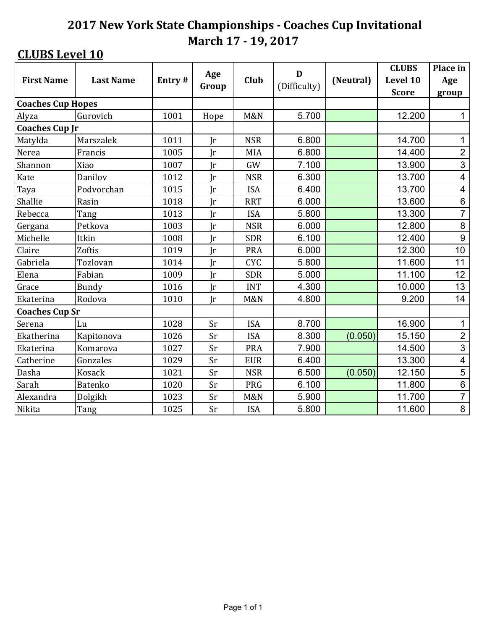|                          |                  |        | Age          |                | D            |           | <b>CLUBS</b> | Place in                 |
|--------------------------|------------------|--------|--------------|----------------|--------------|-----------|--------------|--------------------------|
| <b>First Name</b>        | <b>Last Name</b> | Entry# |              | <b>Club</b>    | (Difficulty) | (Neutral) | Level 10     | Age                      |
|                          |                  |        | Group        |                |              |           | <b>Score</b> | group                    |
| <b>Coaches Cup Hopes</b> |                  |        |              |                |              |           |              |                          |
| Alyza                    | Gurovich         | 1001   | Hope         | <b>M&amp;N</b> | 5.700        |           | 12.200       | 1                        |
| <b>Coaches Cup Jr</b>    |                  |        |              |                |              |           |              |                          |
| Matylda                  | Marszalek        | 1011   | $\mathbf{r}$ | <b>NSR</b>     | 6.800        |           | 14.700       | 1                        |
| Nerea                    | Francis          | 1005   | Ir           | <b>MIA</b>     | 6.800        |           | 14.400       | $\overline{2}$           |
| Shannon                  | Xiao             | 1007   | Jr           | GW             | 7.100        |           | 13.900       | 3                        |
| Kate                     | Danilov          | 1012   | $\mathbf{r}$ | <b>NSR</b>     | 6.300        |           | 13.700       | $\overline{\mathcal{A}}$ |
| Taya                     | Podvorchan       | 1015   | Jr           | <b>ISA</b>     | 6.400        |           | 13.700       | 4                        |
| Shallie                  | Rasin            | 1018   | $\mathbf{r}$ | <b>RRT</b>     | 6.000        |           | 13.600       | $\,6$                    |
| Rebecca                  | Tang             | 1013   | Jr           | <b>ISA</b>     | 5.800        |           | 13.300       | $\overline{7}$           |
| Gergana                  | Petkova          | 1003   | Ir           | <b>NSR</b>     | 6.000        |           | 12.800       | 8                        |
| Michelle                 | Itkin            | 1008   | Jr           | <b>SDR</b>     | 6.100        |           | 12.400       | 9                        |
| Claire                   | Zoftis           | 1019   | $\mathbf{r}$ | <b>PRA</b>     | 6.000        |           | 12.300       | 10                       |
| Gabriela                 | Tozlovan         | 1014   | $\mathbf{r}$ | <b>CYC</b>     | 5.800        |           | 11.600       | 11                       |
| Elena                    | Fabian           | 1009   | Jr           | <b>SDR</b>     | 5.000        |           | 11.100       | 12                       |
| Grace                    | Bundy            | 1016   | Ir           | <b>INT</b>     | 4.300        |           | 10.000       | 13                       |
| Ekaterina                | Rodova           | 1010   | $\mathbf{r}$ | <b>M&amp;N</b> | 4.800        |           | 9.200        | 14                       |
| <b>Coaches Cup Sr</b>    |                  |        |              |                |              |           |              |                          |
| Serena                   | Lu               | 1028   | Sr           | <b>ISA</b>     | 8.700        |           | 16.900       | 1                        |
| Ekatherina               | Kapitonova       | 1026   | Sr           | <b>ISA</b>     | 8.300        | (0.050)   | 15.150       | $\overline{2}$           |
| Ekaterina                | Komarova         | 1027   | Sr           | <b>PRA</b>     | 7.900        |           | 14.500       | $\overline{3}$           |
| Catherine                | Gonzales         | 1029   | Sr           | <b>EUR</b>     | 6.400        |           | 13.300       | $\overline{\mathcal{A}}$ |
| Dasha                    | <b>Kosack</b>    | 1021   | Sr           | <b>NSR</b>     | 6.500        | (0.050)   | 12.150       | 5                        |
| Sarah                    | Batenko          | 1020   | Sr           | <b>PRG</b>     | 6.100        |           | 11.800       | $\overline{6}$           |
| Alexandra                | Dolgikh          | 1023   | Sr           | <b>M&amp;N</b> | 5.900        |           | 11.700       | $\overline{7}$           |
| Nikita                   | Tang             | 1025   | Sr           | <b>ISA</b>     | 5.800        |           | 11.600       | 8                        |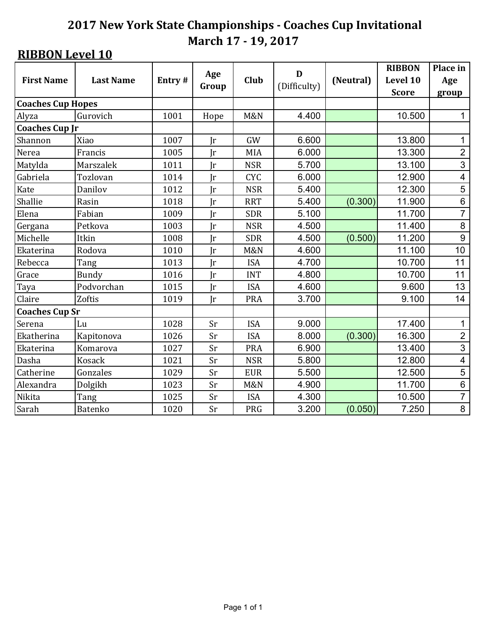|                          |                  | Age    |              |                | D            |           | <b>RIBBON</b> | Place in                 |
|--------------------------|------------------|--------|--------------|----------------|--------------|-----------|---------------|--------------------------|
| <b>First Name</b>        | <b>Last Name</b> | Entry# |              | Club           | (Difficulty) | (Neutral) | Level 10      | Age                      |
|                          |                  |        | Group        |                |              |           | <b>Score</b>  | group                    |
| <b>Coaches Cup Hopes</b> |                  |        |              |                |              |           |               |                          |
| Alyza                    | Gurovich         | 1001   | Hope         | <b>M&amp;N</b> | 4.400        |           | 10.500        | 1                        |
| <b>Coaches Cup Jr</b>    |                  |        |              |                |              |           |               |                          |
| Shannon                  | Xiao             | 1007   | $\mathbf{r}$ | GW             | 6.600        |           | 13.800        | 1                        |
| Nerea                    | Francis          | 1005   | Jr           | <b>MIA</b>     | 6.000        |           | 13.300        | $\overline{2}$           |
| Matylda                  | Marszalek        | 1011   | Jr           | <b>NSR</b>     | 5.700        |           | 13.100        | 3                        |
| Gabriela                 | Tozlovan         | 1014   | $\mathbf{r}$ | <b>CYC</b>     | 6.000        |           | 12.900        | 4                        |
| Kate                     | Danilov          | 1012   | $\mathbf{r}$ | <b>NSR</b>     | 5.400        |           | 12.300        | $\overline{5}$           |
| Shallie                  | Rasin            | 1018   | Jr           | <b>RRT</b>     | 5.400        | (0.300)   | 11.900        | $\,6$                    |
| Elena                    | Fabian           | 1009   | Ir           | <b>SDR</b>     | 5.100        |           | 11.700        | $\overline{7}$           |
| Gergana                  | Petkova          | 1003   | Ir           | <b>NSR</b>     | 4.500        |           | 11.400        | 8                        |
| Michelle                 | Itkin            | 1008   | Jr           | <b>SDR</b>     | 4.500        | (0.500)   | 11.200        | 9                        |
| Ekaterina                | Rodova           | 1010   | $\mathbf{r}$ | <b>M&amp;N</b> | 4.600        |           | 11.100        | 10                       |
| Rebecca                  | Tang             | 1013   | $\mathbf{r}$ | <b>ISA</b>     | 4.700        |           | 10.700        | 11                       |
| Grace                    | Bundy            | 1016   | <b>Ir</b>    | <b>INT</b>     | 4.800        |           | 10.700        | 11                       |
| Taya                     | Podvorchan       | 1015   | $\mathbf{r}$ | <b>ISA</b>     | 4.600        |           | 9.600         | 13                       |
| Claire                   | Zoftis           | 1019   | Jr           | <b>PRA</b>     | 3.700        |           | 9.100         | 14                       |
| <b>Coaches Cup Sr</b>    |                  |        |              |                |              |           |               |                          |
| Serena                   | Lu               | 1028   | Sr           | <b>ISA</b>     | 9.000        |           | 17.400        | 1                        |
| Ekatherina               | Kapitonova       | 1026   | Sr           | <b>ISA</b>     | 8.000        | (0.300)   | 16.300        | $\overline{2}$           |
| Ekaterina                | Komarova         | 1027   | Sr           | <b>PRA</b>     | 6.900        |           | 13.400        | $\overline{3}$           |
| Dasha                    | <b>Kosack</b>    | 1021   | Sr           | <b>NSR</b>     | 5.800        |           | 12.800        | $\overline{\mathcal{A}}$ |
| Catherine                | Gonzales         | 1029   | Sr           | <b>EUR</b>     | 5.500        |           | 12.500        | 5                        |
| Alexandra                | Dolgikh          | 1023   | Sr           | <b>M&amp;N</b> | 4.900        |           | 11.700        | $\overline{6}$           |
| Nikita                   | Tang             | 1025   | Sr           | <b>ISA</b>     | 4.300        |           | 10.500        | $\overline{7}$           |
| Sarah                    | <b>Batenko</b>   | 1020   | Sr           | PRG            | 3.200        | (0.050)   | 7.250         | 8                        |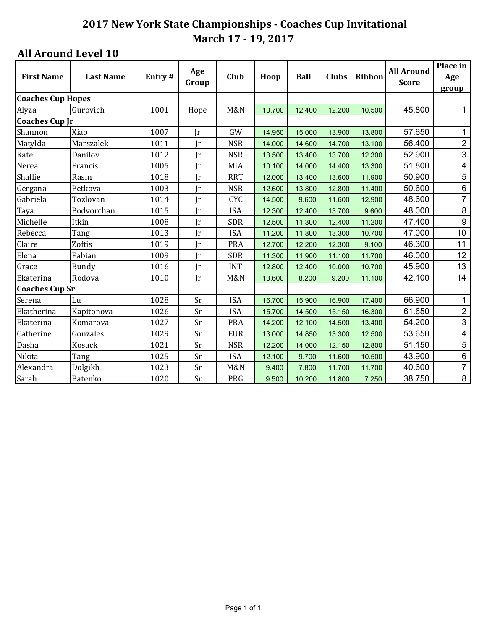| <b>First Name</b>        | <b>Last Name</b> | Entry# | Age          | Club           | Hoop   | <b>Ball</b> | <b>Clubs</b> | Ribbon | <b>All Around</b> | Place in<br>Age         |
|--------------------------|------------------|--------|--------------|----------------|--------|-------------|--------------|--------|-------------------|-------------------------|
|                          |                  |        | Group        |                |        |             |              |        | <b>Score</b>      | group                   |
| <b>Coaches Cup Hopes</b> |                  |        |              |                |        |             |              |        |                   |                         |
| Alyza                    | Gurovich         | 1001   | Hope         | M&N            | 10.700 | 12.400      | 12.200       | 10.500 | 45.800            | $\mathbf{1}$            |
| <b>Coaches Cup Jr</b>    |                  |        |              |                |        |             |              |        |                   |                         |
| Shannon                  | Xiao             | 1007   | $\mathbf{r}$ | GW             | 14.950 | 15.000      | 13.900       | 13.800 | 57.650            | 1                       |
| Matylda                  | Marszalek        | 1011   | Jr           | <b>NSR</b>     | 14.000 | 14.600      | 14.700       | 13.100 | 56.400            | $\overline{2}$          |
| Kate                     | Danilov          | 1012   | $\mathbf{r}$ | <b>NSR</b>     | 13.500 | 13.400      | 13.700       | 12.300 | 52.900            | $\mathfrak{S}$          |
| Nerea                    | Francis          | 1005   | Ir           | <b>MIA</b>     | 10.100 | 14.000      | 14.400       | 13.300 | 51.800            | $\overline{\mathbf{4}}$ |
| Shallie                  | Rasin            | 1018   | Ir           | <b>RRT</b>     | 12.000 | 13.400      | 13.600       | 11.900 | 50.900            | 5                       |
| Gergana                  | Petkova          | 1003   | Jr           | <b>NSR</b>     | 12.600 | 13.800      | 12.800       | 11.400 | 50.600            | $\,6\,$                 |
| Gabriela                 | Tozlovan         | 1014   | $\mathbf{r}$ | <b>CYC</b>     | 14.500 | 9.600       | 11.600       | 12.900 | 48.600            | $\overline{7}$          |
| Taya                     | Podvorchan       | 1015   | Ir           | <b>ISA</b>     | 12.300 | 12.400      | 13.700       | 9.600  | 48.000            | 8                       |
| Michelle                 | Itkin            | 1008   | Jr           | <b>SDR</b>     | 12.500 | 11.300      | 12.400       | 11.200 | 47.400            | 9                       |
| Rebecca                  | Tang             | 1013   | $\mathbf{r}$ | <b>ISA</b>     | 11.200 | 11.800      | 13.300       | 10.700 | 47.000            | 10                      |
| Claire                   | Zoftis           | 1019   | Jr           | <b>PRA</b>     | 12.700 | 12.200      | 12.300       | 9.100  | 46.300            | 11                      |
| Elena                    | Fabian           | 1009   | Ir           | <b>SDR</b>     | 11.300 | 11.900      | 11.100       | 11.700 | 46.000            | 12                      |
| Grace                    | Bundy            | 1016   | Jr           | <b>INT</b>     | 12.800 | 12.400      | 10.000       | 10.700 | 45.900            | 13                      |
| Ekaterina                | Rodova           | 1010   | $\mathbf{r}$ | <b>M&amp;N</b> | 13.600 | 8.200       | 9.200        | 11.100 | 42.100            | 14                      |
| <b>Coaches Cup Sr</b>    |                  |        |              |                |        |             |              |        |                   |                         |
| Serena                   | Lu               | 1028   | <b>Sr</b>    | <b>ISA</b>     | 16.700 | 15.900      | 16.900       | 17.400 | 66.900            | 1                       |
| Ekatherina               | Kapitonova       | 1026   | Sr           | <b>ISA</b>     | 15.700 | 14.500      | 15.150       | 16.300 | 61.650            | $\overline{2}$          |
| Ekaterina                | Komarova         | 1027   | Sr           | <b>PRA</b>     | 14.200 | 12.100      | 14.500       | 13.400 | 54.200            | $\overline{3}$          |
| Catherine                | Gonzales         | 1029   | Sr           | <b>EUR</b>     | 13.000 | 14.850      | 13.300       | 12.500 | 53.650            | $\overline{4}$          |
| Dasha                    | Kosack           | 1021   | Sr           | <b>NSR</b>     | 12.200 | 14.000      | 12.150       | 12.800 | 51.150            | $\sqrt{5}$              |
| Nikita                   | Tang             | 1025   | Sr           | <b>ISA</b>     | 12.100 | 9.700       | 11.600       | 10.500 | 43.900            | $\,6\,$                 |
| Alexandra                | Dolgikh          | 1023   | Sr           | <b>M&amp;N</b> | 9.400  | 7.800       | 11.700       | 11.700 | 40.600            | $\overline{7}$          |
| Sarah                    | Batenko          | 1020   | Sr           | <b>PRG</b>     | 9.500  | 10.200      | 11.800       | 7.250  | 38.750            | 8                       |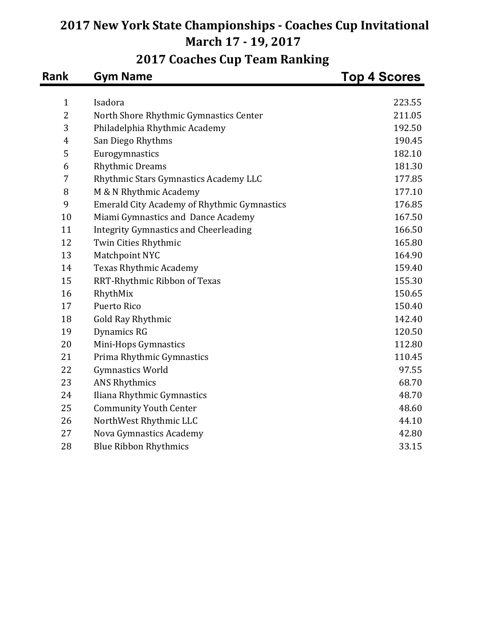| <b>Rank</b>    | <b>Gym Name</b>                                    | <b>Top 4 Scores</b> |
|----------------|----------------------------------------------------|---------------------|
| $\mathbf{1}$   | Isadora                                            | 223.55              |
| 2              | North Shore Rhythmic Gymnastics Center             | 211.05              |
| 3              | Philadelphia Rhythmic Academy                      | 192.50              |
| $\overline{4}$ | San Diego Rhythms                                  | 190.45              |
| 5              | Eurogymnastics                                     | 182.10              |
| 6              | <b>Rhythmic Dreams</b>                             | 181.30              |
| $\overline{7}$ | Rhythmic Stars Gymnastics Academy LLC              | 177.85              |
| 8              | M & N Rhythmic Academy                             | 177.10              |
| 9              | <b>Emerald City Academy of Rhythmic Gymnastics</b> | 176.85              |
| 10             | Miami Gymnastics and Dance Academy                 | 167.50              |
| 11             | <b>Integrity Gymnastics and Cheerleading</b>       | 166.50              |
| 12             | Twin Cities Rhythmic                               | 165.80              |
| 13             | Matchpoint NYC                                     | 164.90              |
| 14             | Texas Rhythmic Academy                             | 159.40              |
| 15             | RRT-Rhythmic Ribbon of Texas                       | 155.30              |
| 16             | RhythMix                                           | 150.65              |
| 17             | <b>Puerto Rico</b>                                 | 150.40              |
| 18             | <b>Gold Ray Rhythmic</b>                           | 142.40              |
| 19             | Dynamics RG                                        | 120.50              |
| 20             | Mini-Hops Gymnastics                               | 112.80              |
| 21             | Prima Rhythmic Gymnastics                          | 110.45              |
| 22             | <b>Gymnastics World</b>                            | 97.55               |
| 23             | <b>ANS Rhythmics</b>                               | 68.70               |
| 24             | Iliana Rhythmic Gymnastics                         | 48.70               |
| 25             | <b>Community Youth Center</b>                      | 48.60               |
| 26             | NorthWest Rhythmic LLC                             | 44.10               |
| 27             | Nova Gymnastics Academy                            | 42.80               |
| 28             | <b>Blue Ribbon Rhythmics</b>                       | 33.15               |

# **2017 Coaches Cup Team Ranking**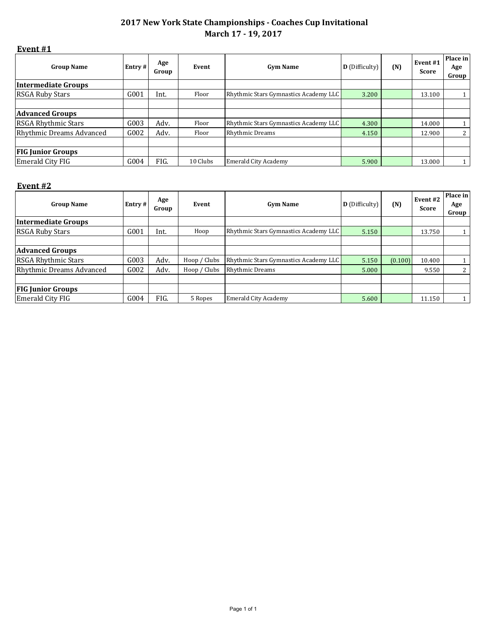#### **Event #1**

| <b>Group Name</b>               | Entry # | Age<br>Group | Event    | <b>Gym Name</b>                       | <b>D</b> (Difficulty) | (N) | Event #1<br>Score | Place in<br>Age<br>Group l |
|---------------------------------|---------|--------------|----------|---------------------------------------|-----------------------|-----|-------------------|----------------------------|
| <b>Intermediate Groups</b>      |         |              |          |                                       |                       |     |                   |                            |
| <b>RSGA Ruby Stars</b>          | G001    | Int.         | Floor    | Rhythmic Stars Gymnastics Academy LLC | 3.200                 |     | 13.100            |                            |
|                                 |         |              |          |                                       |                       |     |                   |                            |
| <b>Advanced Groups</b>          |         |              |          |                                       |                       |     |                   |                            |
| RSGA Rhythmic Stars             | G003    | Adv.         | Floor    | Rhythmic Stars Gymnastics Academy LLC | 4.300                 |     | 14.000            |                            |
| <b>Rhythmic Dreams Advanced</b> | G002    | Adv.         | Floor    | <b>Rhythmic Dreams</b>                | 4.150                 |     | 12.900            | 2 <sup>1</sup>             |
|                                 |         |              |          |                                       |                       |     |                   |                            |
| <b>FIG Junior Groups</b>        |         |              |          |                                       |                       |     |                   |                            |
| Emerald City FIG                | G004    | FIG.         | 10 Clubs | <b>Emerald City Academy</b>           | 5.900                 |     | 13.000            |                            |

#### **Event #2**

| <b>Group Name</b>          | Entry # | Age<br>Group | Event        | <b>Gym Name</b>                       | <b>D</b> (Difficulty) | (N)     | Event <sub>#2</sub><br>Score | Place in<br>Age<br>Group |
|----------------------------|---------|--------------|--------------|---------------------------------------|-----------------------|---------|------------------------------|--------------------------|
| Intermediate Groups        |         |              |              |                                       |                       |         |                              |                          |
| <b>RSGA Ruby Stars</b>     | G001    | Int.         | Hoop         | Rhythmic Stars Gymnastics Academy LLC | 5.150                 |         | 13.750                       | $\mathbf{1}$             |
|                            |         |              |              |                                       |                       |         |                              |                          |
| <b>Advanced Groups</b>     |         |              |              |                                       |                       |         |                              |                          |
| <b>RSGA Rhythmic Stars</b> | G003    | Adv.         | Hoop / Clubs | Rhythmic Stars Gymnastics Academy LLC | 5.150                 | (0.100) | 10.400                       |                          |
| Rhythmic Dreams Advanced   | G002    | Adv.         | Hoop / Clubs | <b>Rhythmic Dreams</b>                | 5.000                 |         | 9.550                        | 2                        |
|                            |         |              |              |                                       |                       |         |                              |                          |
| <b>FIG Junior Groups</b>   |         |              |              |                                       |                       |         |                              |                          |
| Emerald City FIG           | G004    | FIG.         | 5 Ropes      | <b>Emerald City Academy</b>           | 5.600                 |         | 11.150                       |                          |